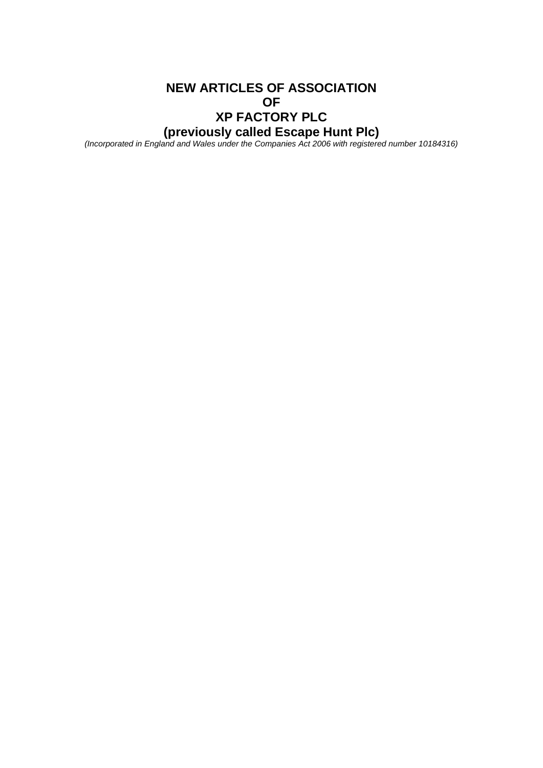# **NEW ARTICLES OF ASSOCIATION OF XP FACTORY PLC (previously called Escape Hunt Plc)**

*(Incorporated in England and Wales under the Companies Act 2006 with registered number 10184316)*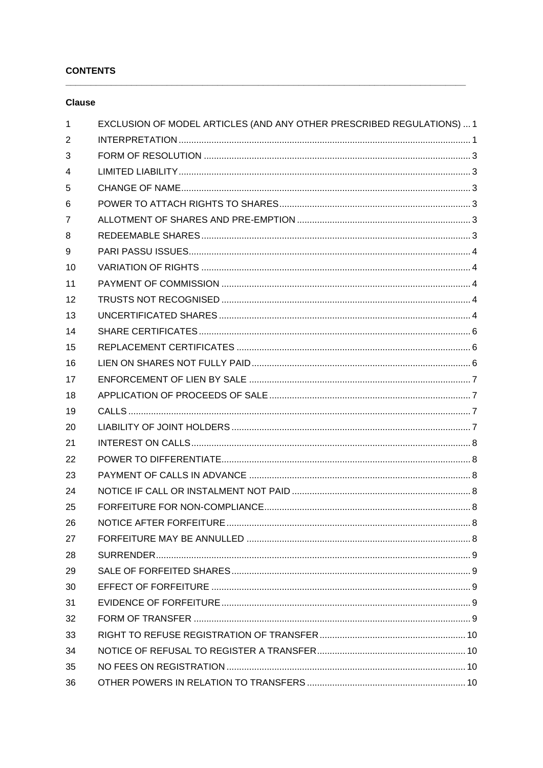## **CONTENTS**

## **Clause**

| 1              | EXCLUSION OF MODEL ARTICLES (AND ANY OTHER PRESCRIBED REGULATIONS)  1 |
|----------------|-----------------------------------------------------------------------|
| 2              |                                                                       |
| 3              |                                                                       |
| 4              |                                                                       |
| 5              |                                                                       |
| 6              |                                                                       |
| $\overline{7}$ |                                                                       |
| 8              |                                                                       |
| 9              |                                                                       |
| 10             |                                                                       |
| 11             |                                                                       |
| 12             |                                                                       |
| 13             |                                                                       |
| 14             |                                                                       |
| 15             |                                                                       |
| 16             |                                                                       |
| 17             |                                                                       |
| 18             |                                                                       |
| 19             |                                                                       |
| 20             |                                                                       |
| 21             |                                                                       |
| 22             |                                                                       |
| 23             |                                                                       |
| 24             |                                                                       |
| 25             |                                                                       |
| 26             |                                                                       |
| 27             |                                                                       |
| 28             |                                                                       |
| 29             |                                                                       |
| 30             |                                                                       |
| 31             |                                                                       |
| 32             |                                                                       |
| 33             |                                                                       |
| 34             |                                                                       |
| 35             |                                                                       |
| 36             |                                                                       |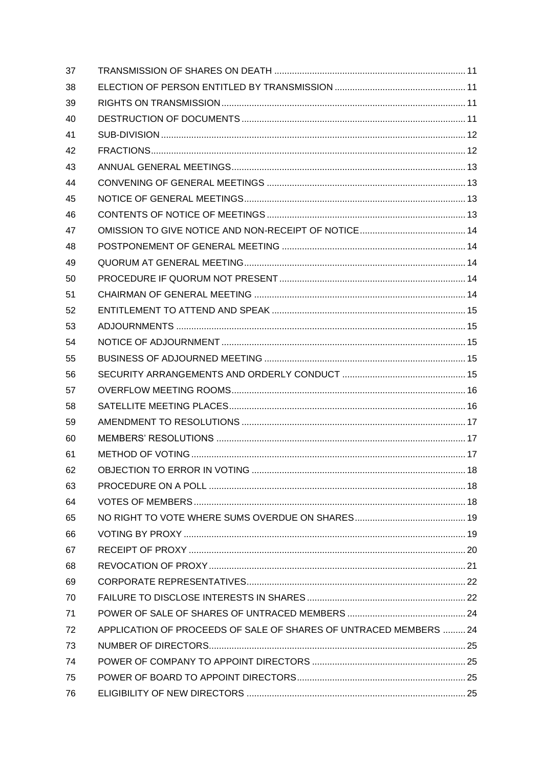| 37 |                                                                   |  |
|----|-------------------------------------------------------------------|--|
| 38 |                                                                   |  |
| 39 |                                                                   |  |
| 40 |                                                                   |  |
| 41 |                                                                   |  |
| 42 |                                                                   |  |
| 43 |                                                                   |  |
| 44 |                                                                   |  |
| 45 |                                                                   |  |
| 46 |                                                                   |  |
| 47 |                                                                   |  |
| 48 |                                                                   |  |
| 49 |                                                                   |  |
| 50 |                                                                   |  |
| 51 |                                                                   |  |
| 52 |                                                                   |  |
| 53 |                                                                   |  |
| 54 |                                                                   |  |
| 55 |                                                                   |  |
| 56 |                                                                   |  |
| 57 |                                                                   |  |
| 58 |                                                                   |  |
| 59 |                                                                   |  |
| 60 |                                                                   |  |
| 61 |                                                                   |  |
| 62 |                                                                   |  |
| 63 |                                                                   |  |
| 64 |                                                                   |  |
| 65 |                                                                   |  |
| 66 |                                                                   |  |
| 67 |                                                                   |  |
| 68 |                                                                   |  |
| 69 |                                                                   |  |
| 70 |                                                                   |  |
| 71 |                                                                   |  |
| 72 | APPLICATION OF PROCEEDS OF SALE OF SHARES OF UNTRACED MEMBERS  24 |  |
| 73 |                                                                   |  |
| 74 |                                                                   |  |
| 75 |                                                                   |  |
| 76 |                                                                   |  |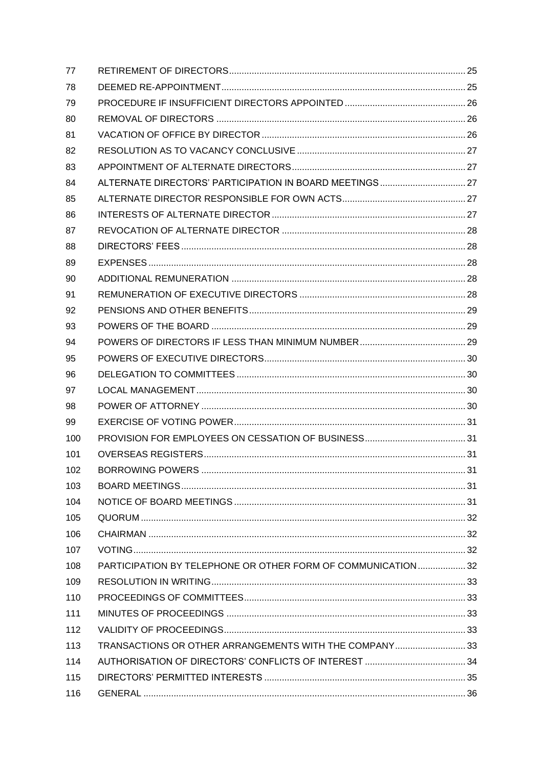| 77  |                                                              |  |
|-----|--------------------------------------------------------------|--|
| 78  |                                                              |  |
| 79  |                                                              |  |
| 80  |                                                              |  |
| 81  |                                                              |  |
| 82  |                                                              |  |
| 83  |                                                              |  |
| 84  |                                                              |  |
| 85  |                                                              |  |
| 86  |                                                              |  |
| 87  |                                                              |  |
| 88  |                                                              |  |
| 89  |                                                              |  |
| 90  |                                                              |  |
| 91  |                                                              |  |
| 92  |                                                              |  |
| 93  |                                                              |  |
| 94  |                                                              |  |
| 95  |                                                              |  |
| 96  |                                                              |  |
| 97  |                                                              |  |
| 98  |                                                              |  |
| 99  |                                                              |  |
| 100 |                                                              |  |
| 101 |                                                              |  |
| 102 |                                                              |  |
| 103 |                                                              |  |
| 104 |                                                              |  |
| 105 |                                                              |  |
| 106 |                                                              |  |
| 107 |                                                              |  |
| 108 | PARTICIPATION BY TELEPHONE OR OTHER FORM OF COMMUNICATION 32 |  |
| 109 |                                                              |  |
| 110 |                                                              |  |
| 111 |                                                              |  |
| 112 |                                                              |  |
| 113 | TRANSACTIONS OR OTHER ARRANGEMENTS WITH THE COMPANY33        |  |
| 114 |                                                              |  |
| 115 |                                                              |  |
| 116 |                                                              |  |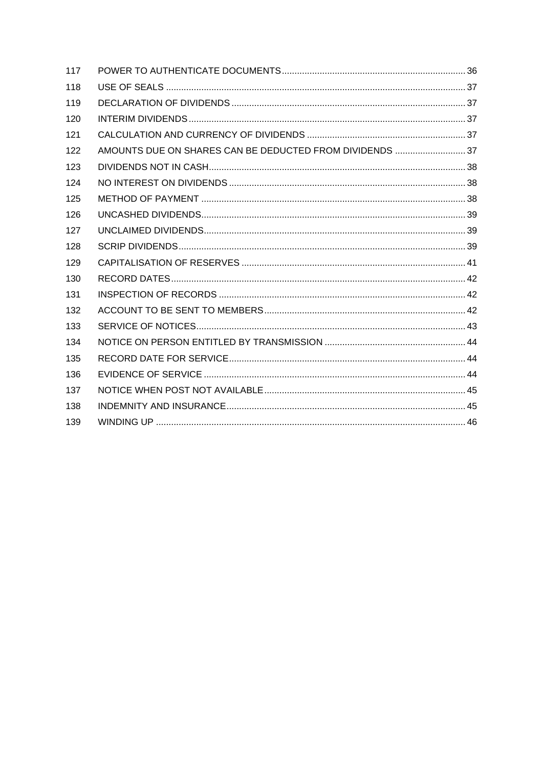| 117 |                                                          |  |
|-----|----------------------------------------------------------|--|
| 118 |                                                          |  |
| 119 |                                                          |  |
| 120 |                                                          |  |
| 121 |                                                          |  |
| 122 | AMOUNTS DUE ON SHARES CAN BE DEDUCTED FROM DIVIDENDS  37 |  |
| 123 |                                                          |  |
| 124 |                                                          |  |
| 125 |                                                          |  |
| 126 |                                                          |  |
| 127 |                                                          |  |
| 128 |                                                          |  |
| 129 |                                                          |  |
| 130 |                                                          |  |
| 131 |                                                          |  |
| 132 |                                                          |  |
| 133 |                                                          |  |
| 134 |                                                          |  |
| 135 |                                                          |  |
| 136 |                                                          |  |
| 137 |                                                          |  |
| 138 |                                                          |  |
| 139 |                                                          |  |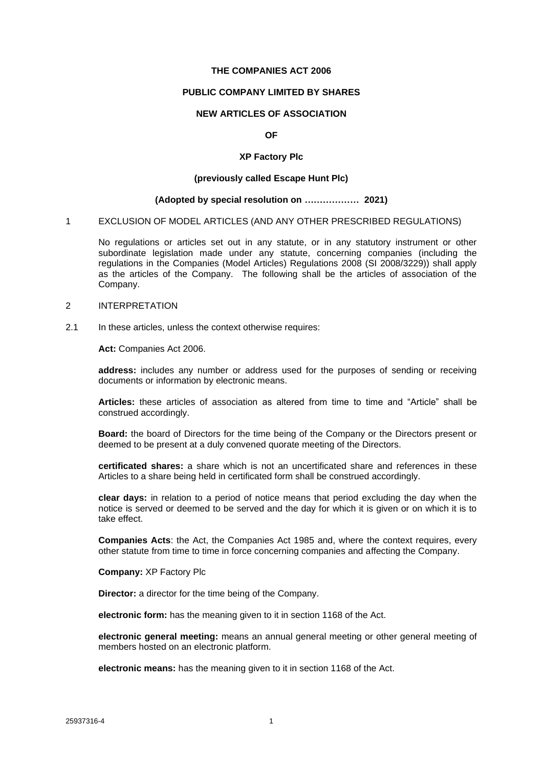#### **THE COMPANIES ACT 2006**

#### **PUBLIC COMPANY LIMITED BY SHARES**

## **NEW ARTICLES OF ASSOCIATION**

### **OF**

#### **XP Factory Plc**

#### **(previously called Escape Hunt Plc)**

#### **(Adopted by special resolution on ……………… 2021)**

#### <span id="page-5-0"></span>1 EXCLUSION OF MODEL ARTICLES (AND ANY OTHER PRESCRIBED REGULATIONS)

No regulations or articles set out in any statute, or in any statutory instrument or other subordinate legislation made under any statute, concerning companies (including the regulations in the Companies (Model Articles) Regulations 2008 (SI 2008/3229)) shall apply as the articles of the Company. The following shall be the articles of association of the Company.

#### <span id="page-5-1"></span>2 INTERPRETATION

2.1 In these articles, unless the context otherwise requires:

**Act:** Companies Act 2006.

**address:** includes any number or address used for the purposes of sending or receiving documents or information by electronic means.

**Articles:** these articles of association as altered from time to time and "Article" shall be construed accordingly.

**Board:** the board of Directors for the time being of the Company or the Directors present or deemed to be present at a duly convened quorate meeting of the Directors.

**certificated shares:** a share which is not an uncertificated share and references in these Articles to a share being held in certificated form shall be construed accordingly.

**clear days:** in relation to a period of notice means that period excluding the day when the notice is served or deemed to be served and the day for which it is given or on which it is to take effect.

**Companies Acts**: the Act, the Companies Act 1985 and, where the context requires, every other statute from time to time in force concerning companies and affecting the Company.

**Company:** XP Factory Plc

**Director:** a director for the time being of the Company.

**electronic form:** has the meaning given to it in section 1168 of the Act.

**electronic general meeting:** means an annual general meeting or other general meeting of members hosted on an electronic platform.

**electronic means:** has the meaning given to it in section 1168 of the Act.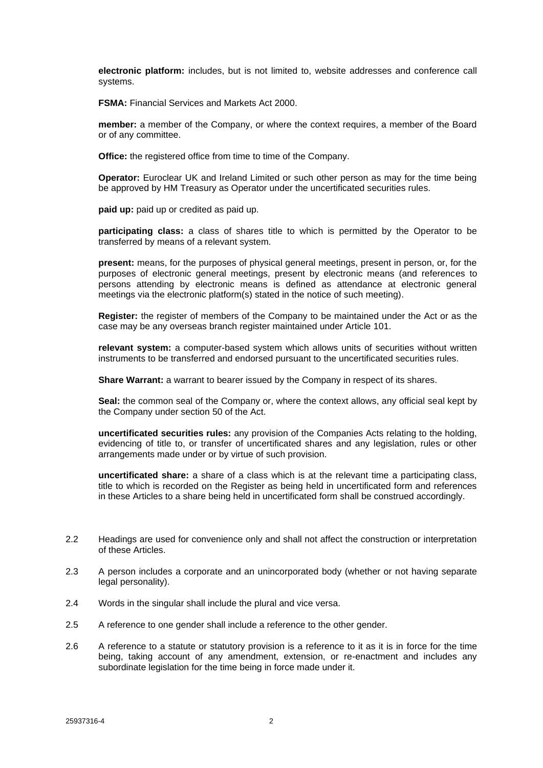**electronic platform:** includes, but is not limited to, website addresses and conference call systems.

**FSMA:** Financial Services and Markets Act 2000.

**member:** a member of the Company, or where the context requires, a member of the Board or of any committee.

**Office:** the registered office from time to time of the Company.

**Operator:** Euroclear UK and Ireland Limited or such other person as may for the time being be approved by HM Treasury as Operator under the uncertificated securities rules.

**paid up:** paid up or credited as paid up.

**participating class:** a class of shares title to which is permitted by the Operator to be transferred by means of a relevant system.

**present:** means, for the purposes of physical general meetings, present in person, or, for the purposes of electronic general meetings, present by electronic means (and references to persons attending by electronic means is defined as attendance at electronic general meetings via the electronic platform(s) stated in the notice of such meeting).

**Register:** the register of members of the Company to be maintained under the Act or as the case may be any overseas branch register maintained under Article [101.](#page-35-2)

**relevant system:** a computer-based system which allows units of securities without written instruments to be transferred and endorsed pursuant to the uncertificated securities rules.

**Share Warrant:** a warrant to bearer issued by the Company in respect of its shares.

**Seal:** the common seal of the Company or, where the context allows, any official seal kept by the Company under section 50 of the Act.

**uncertificated securities rules:** any provision of the Companies Acts relating to the holding, evidencing of title to, or transfer of uncertificated shares and any legislation, rules or other arrangements made under or by virtue of such provision.

**uncertificated share:** a share of a class which is at the relevant time a participating class, title to which is recorded on the Register as being held in uncertificated form and references in these Articles to a share being held in uncertificated form shall be construed accordingly.

- 2.2 Headings are used for convenience only and shall not affect the construction or interpretation of these Articles.
- 2.3 A person includes a corporate and an unincorporated body (whether or not having separate legal personality).
- 2.4 Words in the singular shall include the plural and vice versa.
- 2.5 A reference to one gender shall include a reference to the other gender.
- 2.6 A reference to a statute or statutory provision is a reference to it as it is in force for the time being, taking account of any amendment, extension, or re-enactment and includes any subordinate legislation for the time being in force made under it.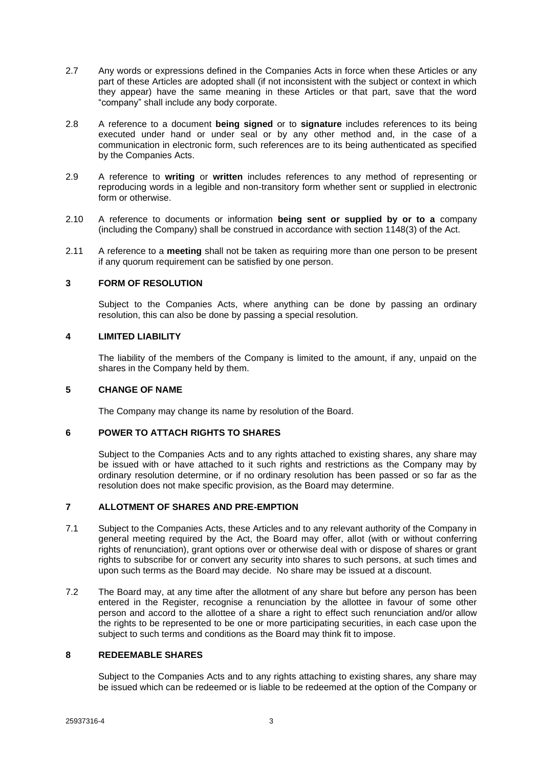- 2.7 Any words or expressions defined in the Companies Acts in force when these Articles or any part of these Articles are adopted shall (if not inconsistent with the subject or context in which they appear) have the same meaning in these Articles or that part, save that the word "company" shall include any body corporate.
- 2.8 A reference to a document **being signed** or to **signature** includes references to its being executed under hand or under seal or by any other method and, in the case of a communication in electronic form, such references are to its being authenticated as specified by the Companies Acts.
- 2.9 A reference to **writing** or **written** includes references to any method of representing or reproducing words in a legible and non-transitory form whether sent or supplied in electronic form or otherwise.
- 2.10 A reference to documents or information **being sent or supplied by or to a** company (including the Company) shall be construed in accordance with section 1148(3) of the Act.
- 2.11 A reference to a **meeting** shall not be taken as requiring more than one person to be present if any quorum requirement can be satisfied by one person.

## <span id="page-7-0"></span>**3 FORM OF RESOLUTION**

Subject to the Companies Acts, where anything can be done by passing an ordinary resolution, this can also be done by passing a special resolution.

## <span id="page-7-1"></span>**4 LIMITED LIABILITY**

The liability of the members of the Company is limited to the amount, if any, unpaid on the shares in the Company held by them.

### <span id="page-7-2"></span>**5 CHANGE OF NAME**

The Company may change its name by resolution of the Board.

## <span id="page-7-3"></span>**6 POWER TO ATTACH RIGHTS TO SHARES**

Subject to the Companies Acts and to any rights attached to existing shares, any share may be issued with or have attached to it such rights and restrictions as the Company may by ordinary resolution determine, or if no ordinary resolution has been passed or so far as the resolution does not make specific provision, as the Board may determine.

### <span id="page-7-4"></span>**7 ALLOTMENT OF SHARES AND PRE-EMPTION**

- 7.1 Subject to the Companies Acts, these Articles and to any relevant authority of the Company in general meeting required by the Act, the Board may offer, allot (with or without conferring rights of renunciation), grant options over or otherwise deal with or dispose of shares or grant rights to subscribe for or convert any security into shares to such persons, at such times and upon such terms as the Board may decide. No share may be issued at a discount.
- 7.2 The Board may, at any time after the allotment of any share but before any person has been entered in the Register, recognise a renunciation by the allottee in favour of some other person and accord to the allottee of a share a right to effect such renunciation and/or allow the rights to be represented to be one or more participating securities, in each case upon the subject to such terms and conditions as the Board may think fit to impose.

## <span id="page-7-5"></span>**8 REDEEMABLE SHARES**

Subject to the Companies Acts and to any rights attaching to existing shares, any share may be issued which can be redeemed or is liable to be redeemed at the option of the Company or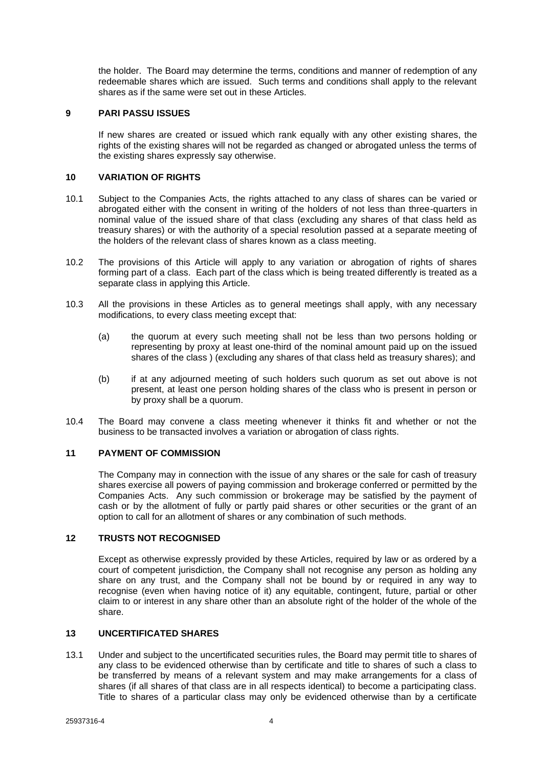the holder. The Board may determine the terms, conditions and manner of redemption of any redeemable shares which are issued. Such terms and conditions shall apply to the relevant shares as if the same were set out in these Articles.

### <span id="page-8-0"></span>**9 PARI PASSU ISSUES**

If new shares are created or issued which rank equally with any other existing shares, the rights of the existing shares will not be regarded as changed or abrogated unless the terms of the existing shares expressly say otherwise.

## <span id="page-8-1"></span>**10 VARIATION OF RIGHTS**

- 10.1 Subject to the Companies Acts, the rights attached to any class of shares can be varied or abrogated either with the consent in writing of the holders of not less than three-quarters in nominal value of the issued share of that class (excluding any shares of that class held as treasury shares) or with the authority of a special resolution passed at a separate meeting of the holders of the relevant class of shares known as a class meeting.
- 10.2 The provisions of this Article will apply to any variation or abrogation of rights of shares forming part of a class. Each part of the class which is being treated differently is treated as a separate class in applying this Article.
- 10.3 All the provisions in these Articles as to general meetings shall apply, with any necessary modifications, to every class meeting except that:
	- (a) the quorum at every such meeting shall not be less than two persons holding or representing by proxy at least one-third of the nominal amount paid up on the issued shares of the class ) (excluding any shares of that class held as treasury shares); and
	- (b) if at any adjourned meeting of such holders such quorum as set out above is not present, at least one person holding shares of the class who is present in person or by proxy shall be a quorum.
- 10.4 The Board may convene a class meeting whenever it thinks fit and whether or not the business to be transacted involves a variation or abrogation of class rights.

### <span id="page-8-2"></span>**11 PAYMENT OF COMMISSION**

The Company may in connection with the issue of any shares or the sale for cash of treasury shares exercise all powers of paying commission and brokerage conferred or permitted by the Companies Acts. Any such commission or brokerage may be satisfied by the payment of cash or by the allotment of fully or partly paid shares or other securities or the grant of an option to call for an allotment of shares or any combination of such methods.

## <span id="page-8-3"></span>**12 TRUSTS NOT RECOGNISED**

Except as otherwise expressly provided by these Articles, required by law or as ordered by a court of competent jurisdiction, the Company shall not recognise any person as holding any share on any trust, and the Company shall not be bound by or required in any way to recognise (even when having notice of it) any equitable, contingent, future, partial or other claim to or interest in any share other than an absolute right of the holder of the whole of the share.

## <span id="page-8-4"></span>**13 UNCERTIFICATED SHARES**

13.1 Under and subject to the uncertificated securities rules, the Board may permit title to shares of any class to be evidenced otherwise than by certificate and title to shares of such a class to be transferred by means of a relevant system and may make arrangements for a class of shares (if all shares of that class are in all respects identical) to become a participating class. Title to shares of a particular class may only be evidenced otherwise than by a certificate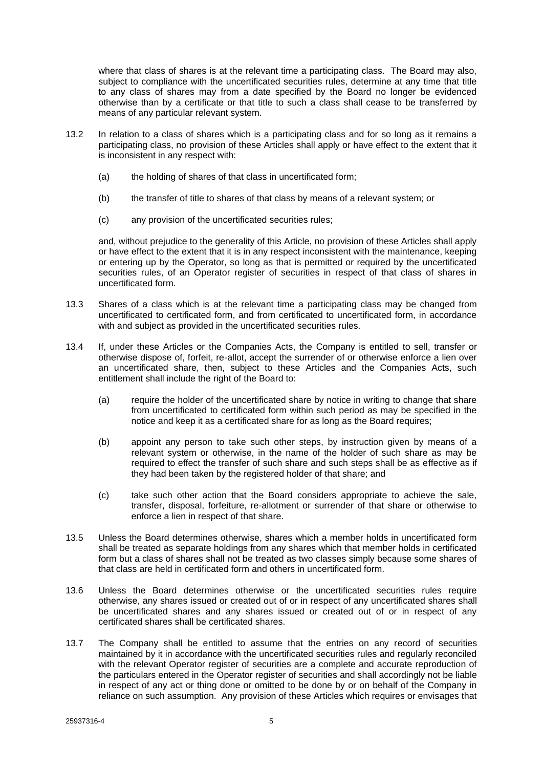where that class of shares is at the relevant time a participating class. The Board may also, subject to compliance with the uncertificated securities rules, determine at any time that title to any class of shares may from a date specified by the Board no longer be evidenced otherwise than by a certificate or that title to such a class shall cease to be transferred by means of any particular relevant system.

- 13.2 In relation to a class of shares which is a participating class and for so long as it remains a participating class, no provision of these Articles shall apply or have effect to the extent that it is inconsistent in any respect with:
	- (a) the holding of shares of that class in uncertificated form;
	- (b) the transfer of title to shares of that class by means of a relevant system; or
	- (c) any provision of the uncertificated securities rules;

and, without prejudice to the generality of this Article, no provision of these Articles shall apply or have effect to the extent that it is in any respect inconsistent with the maintenance, keeping or entering up by the Operator, so long as that is permitted or required by the uncertificated securities rules, of an Operator register of securities in respect of that class of shares in uncertificated form.

- 13.3 Shares of a class which is at the relevant time a participating class may be changed from uncertificated to certificated form, and from certificated to uncertificated form, in accordance with and subject as provided in the uncertificated securities rules.
- 13.4 If, under these Articles or the Companies Acts, the Company is entitled to sell, transfer or otherwise dispose of, forfeit, re-allot, accept the surrender of or otherwise enforce a lien over an uncertificated share, then, subject to these Articles and the Companies Acts, such entitlement shall include the right of the Board to:
	- (a) require the holder of the uncertificated share by notice in writing to change that share from uncertificated to certificated form within such period as may be specified in the notice and keep it as a certificated share for as long as the Board requires;
	- (b) appoint any person to take such other steps, by instruction given by means of a relevant system or otherwise, in the name of the holder of such share as may be required to effect the transfer of such share and such steps shall be as effective as if they had been taken by the registered holder of that share; and
	- (c) take such other action that the Board considers appropriate to achieve the sale, transfer, disposal, forfeiture, re-allotment or surrender of that share or otherwise to enforce a lien in respect of that share.
- 13.5 Unless the Board determines otherwise, shares which a member holds in uncertificated form shall be treated as separate holdings from any shares which that member holds in certificated form but a class of shares shall not be treated as two classes simply because some shares of that class are held in certificated form and others in uncertificated form.
- 13.6 Unless the Board determines otherwise or the uncertificated securities rules require otherwise, any shares issued or created out of or in respect of any uncertificated shares shall be uncertificated shares and any shares issued or created out of or in respect of any certificated shares shall be certificated shares.
- 13.7 The Company shall be entitled to assume that the entries on any record of securities maintained by it in accordance with the uncertificated securities rules and regularly reconciled with the relevant Operator register of securities are a complete and accurate reproduction of the particulars entered in the Operator register of securities and shall accordingly not be liable in respect of any act or thing done or omitted to be done by or on behalf of the Company in reliance on such assumption. Any provision of these Articles which requires or envisages that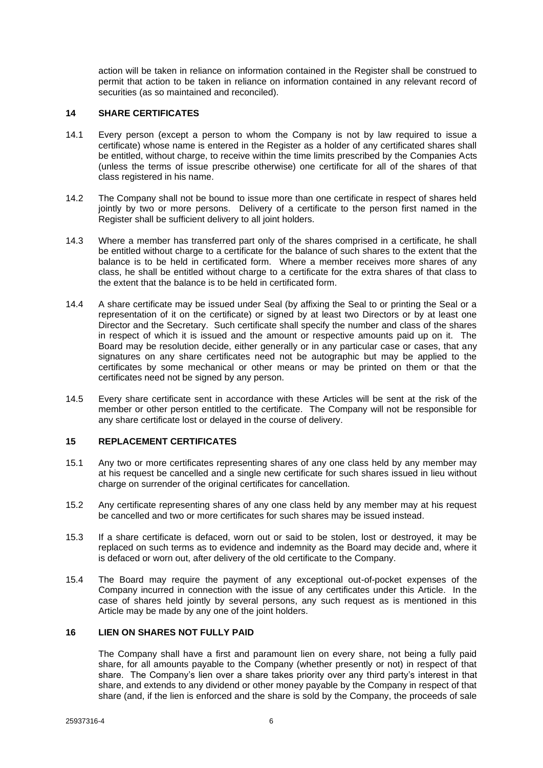action will be taken in reliance on information contained in the Register shall be construed to permit that action to be taken in reliance on information contained in any relevant record of securities (as so maintained and reconciled).

### <span id="page-10-0"></span>**14 SHARE CERTIFICATES**

- 14.1 Every person (except a person to whom the Company is not by law required to issue a certificate) whose name is entered in the Register as a holder of any certificated shares shall be entitled, without charge, to receive within the time limits prescribed by the Companies Acts (unless the terms of issue prescribe otherwise) one certificate for all of the shares of that class registered in his name.
- 14.2 The Company shall not be bound to issue more than one certificate in respect of shares held jointly by two or more persons. Delivery of a certificate to the person first named in the Register shall be sufficient delivery to all joint holders.
- 14.3 Where a member has transferred part only of the shares comprised in a certificate, he shall be entitled without charge to a certificate for the balance of such shares to the extent that the balance is to be held in certificated form. Where a member receives more shares of any class, he shall be entitled without charge to a certificate for the extra shares of that class to the extent that the balance is to be held in certificated form.
- 14.4 A share certificate may be issued under Seal (by affixing the Seal to or printing the Seal or a representation of it on the certificate) or signed by at least two Directors or by at least one Director and the Secretary. Such certificate shall specify the number and class of the shares in respect of which it is issued and the amount or respective amounts paid up on it. The Board may be resolution decide, either generally or in any particular case or cases, that any signatures on any share certificates need not be autographic but may be applied to the certificates by some mechanical or other means or may be printed on them or that the certificates need not be signed by any person.
- 14.5 Every share certificate sent in accordance with these Articles will be sent at the risk of the member or other person entitled to the certificate. The Company will not be responsible for any share certificate lost or delayed in the course of delivery.

## <span id="page-10-1"></span>**15 REPLACEMENT CERTIFICATES**

- 15.1 Any two or more certificates representing shares of any one class held by any member may at his request be cancelled and a single new certificate for such shares issued in lieu without charge on surrender of the original certificates for cancellation.
- 15.2 Any certificate representing shares of any one class held by any member may at his request be cancelled and two or more certificates for such shares may be issued instead.
- 15.3 If a share certificate is defaced, worn out or said to be stolen, lost or destroyed, it may be replaced on such terms as to evidence and indemnity as the Board may decide and, where it is defaced or worn out, after delivery of the old certificate to the Company.
- 15.4 The Board may require the payment of any exceptional out-of-pocket expenses of the Company incurred in connection with the issue of any certificates under this Article. In the case of shares held jointly by several persons, any such request as is mentioned in this Article may be made by any one of the joint holders.

## <span id="page-10-2"></span>**16 LIEN ON SHARES NOT FULLY PAID**

The Company shall have a first and paramount lien on every share, not being a fully paid share, for all amounts payable to the Company (whether presently or not) in respect of that share. The Company's lien over a share takes priority over any third party's interest in that share, and extends to any dividend or other money payable by the Company in respect of that share (and, if the lien is enforced and the share is sold by the Company, the proceeds of sale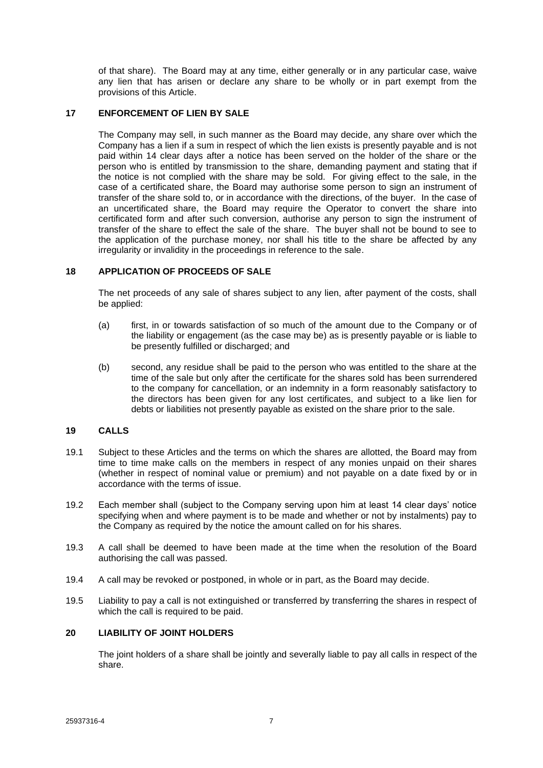of that share). The Board may at any time, either generally or in any particular case, waive any lien that has arisen or declare any share to be wholly or in part exempt from the provisions of this Article.

## <span id="page-11-0"></span>**17 ENFORCEMENT OF LIEN BY SALE**

The Company may sell, in such manner as the Board may decide, any share over which the Company has a lien if a sum in respect of which the lien exists is presently payable and is not paid within 14 clear days after a notice has been served on the holder of the share or the person who is entitled by transmission to the share, demanding payment and stating that if the notice is not complied with the share may be sold. For giving effect to the sale, in the case of a certificated share, the Board may authorise some person to sign an instrument of transfer of the share sold to, or in accordance with the directions, of the buyer. In the case of an uncertificated share, the Board may require the Operator to convert the share into certificated form and after such conversion, authorise any person to sign the instrument of transfer of the share to effect the sale of the share. The buyer shall not be bound to see to the application of the purchase money, nor shall his title to the share be affected by any irregularity or invalidity in the proceedings in reference to the sale.

## <span id="page-11-1"></span>**18 APPLICATION OF PROCEEDS OF SALE**

The net proceeds of any sale of shares subject to any lien, after payment of the costs, shall be applied:

- (a) first, in or towards satisfaction of so much of the amount due to the Company or of the liability or engagement (as the case may be) as is presently payable or is liable to be presently fulfilled or discharged; and
- (b) second, any residue shall be paid to the person who was entitled to the share at the time of the sale but only after the certificate for the shares sold has been surrendered to the company for cancellation, or an indemnity in a form reasonably satisfactory to the directors has been given for any lost certificates, and subject to a like lien for debts or liabilities not presently payable as existed on the share prior to the sale.

## <span id="page-11-2"></span>**19 CALLS**

- 19.1 Subject to these Articles and the terms on which the shares are allotted, the Board may from time to time make calls on the members in respect of any monies unpaid on their shares (whether in respect of nominal value or premium) and not payable on a date fixed by or in accordance with the terms of issue.
- 19.2 Each member shall (subject to the Company serving upon him at least 14 clear days' notice specifying when and where payment is to be made and whether or not by instalments) pay to the Company as required by the notice the amount called on for his shares.
- 19.3 A call shall be deemed to have been made at the time when the resolution of the Board authorising the call was passed.
- 19.4 A call may be revoked or postponed, in whole or in part, as the Board may decide.
- 19.5 Liability to pay a call is not extinguished or transferred by transferring the shares in respect of which the call is required to be paid.

## <span id="page-11-3"></span>**20 LIABILITY OF JOINT HOLDERS**

The joint holders of a share shall be jointly and severally liable to pay all calls in respect of the share.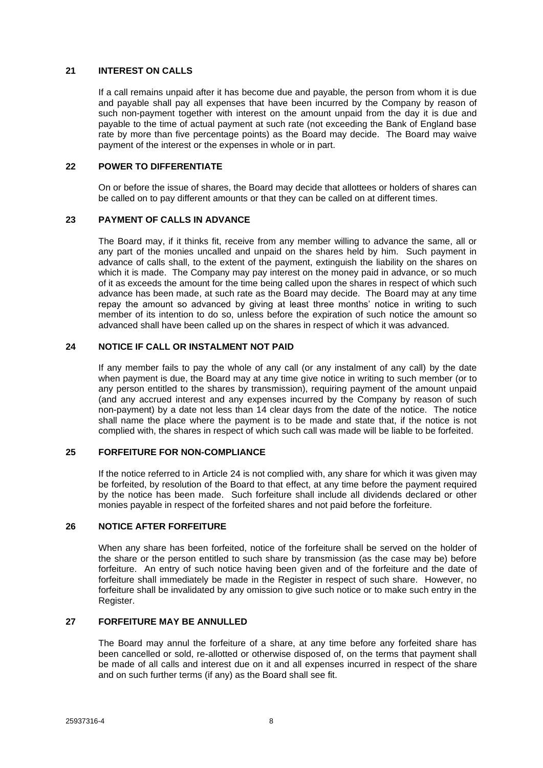## <span id="page-12-0"></span>**21 INTEREST ON CALLS**

If a call remains unpaid after it has become due and payable, the person from whom it is due and payable shall pay all expenses that have been incurred by the Company by reason of such non-payment together with interest on the amount unpaid from the day it is due and payable to the time of actual payment at such rate (not exceeding the Bank of England base rate by more than five percentage points) as the Board may decide. The Board may waive payment of the interest or the expenses in whole or in part.

## <span id="page-12-1"></span>**22 POWER TO DIFFERENTIATE**

On or before the issue of shares, the Board may decide that allottees or holders of shares can be called on to pay different amounts or that they can be called on at different times.

## <span id="page-12-2"></span>**23 PAYMENT OF CALLS IN ADVANCE**

The Board may, if it thinks fit, receive from any member willing to advance the same, all or any part of the monies uncalled and unpaid on the shares held by him. Such payment in advance of calls shall, to the extent of the payment, extinguish the liability on the shares on which it is made. The Company may pay interest on the money paid in advance, or so much of it as exceeds the amount for the time being called upon the shares in respect of which such advance has been made, at such rate as the Board may decide. The Board may at any time repay the amount so advanced by giving at least three months' notice in writing to such member of its intention to do so, unless before the expiration of such notice the amount so advanced shall have been called up on the shares in respect of which it was advanced.

## <span id="page-12-3"></span>**24 NOTICE IF CALL OR INSTALMENT NOT PAID**

If any member fails to pay the whole of any call (or any instalment of any call) by the date when payment is due, the Board may at any time give notice in writing to such member (or to any person entitled to the shares by transmission), requiring payment of the amount unpaid (and any accrued interest and any expenses incurred by the Company by reason of such non-payment) by a date not less than 14 clear days from the date of the notice. The notice shall name the place where the payment is to be made and state that, if the notice is not complied with, the shares in respect of which such call was made will be liable to be forfeited.

## <span id="page-12-4"></span>**25 FORFEITURE FOR NON-COMPLIANCE**

If the notice referred to in Article [24](#page-12-3) is not complied with, any share for which it was given may be forfeited, by resolution of the Board to that effect, at any time before the payment required by the notice has been made. Such forfeiture shall include all dividends declared or other monies payable in respect of the forfeited shares and not paid before the forfeiture.

## <span id="page-12-5"></span>**26 NOTICE AFTER FORFEITURE**

When any share has been forfeited, notice of the forfeiture shall be served on the holder of the share or the person entitled to such share by transmission (as the case may be) before forfeiture. An entry of such notice having been given and of the forfeiture and the date of forfeiture shall immediately be made in the Register in respect of such share. However, no forfeiture shall be invalidated by any omission to give such notice or to make such entry in the Register.

## <span id="page-12-6"></span>**27 FORFEITURE MAY BE ANNULLED**

The Board may annul the forfeiture of a share, at any time before any forfeited share has been cancelled or sold, re-allotted or otherwise disposed of, on the terms that payment shall be made of all calls and interest due on it and all expenses incurred in respect of the share and on such further terms (if any) as the Board shall see fit.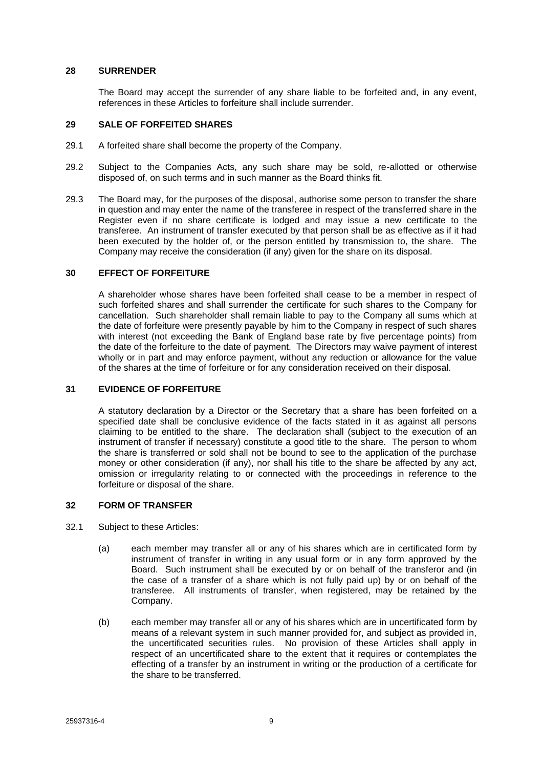### <span id="page-13-0"></span>**28 SURRENDER**

The Board may accept the surrender of any share liable to be forfeited and, in any event, references in these Articles to forfeiture shall include surrender.

### <span id="page-13-1"></span>**29 SALE OF FORFEITED SHARES**

- 29.1 A forfeited share shall become the property of the Company.
- 29.2 Subject to the Companies Acts, any such share may be sold, re-allotted or otherwise disposed of, on such terms and in such manner as the Board thinks fit.
- 29.3 The Board may, for the purposes of the disposal, authorise some person to transfer the share in question and may enter the name of the transferee in respect of the transferred share in the Register even if no share certificate is lodged and may issue a new certificate to the transferee. An instrument of transfer executed by that person shall be as effective as if it had been executed by the holder of, or the person entitled by transmission to, the share. The Company may receive the consideration (if any) given for the share on its disposal.

### <span id="page-13-2"></span>**30 EFFECT OF FORFEITURE**

A shareholder whose shares have been forfeited shall cease to be a member in respect of such forfeited shares and shall surrender the certificate for such shares to the Company for cancellation. Such shareholder shall remain liable to pay to the Company all sums which at the date of forfeiture were presently payable by him to the Company in respect of such shares with interest (not exceeding the Bank of England base rate by five percentage points) from the date of the forfeiture to the date of payment. The Directors may waive payment of interest wholly or in part and may enforce payment, without any reduction or allowance for the value of the shares at the time of forfeiture or for any consideration received on their disposal.

### <span id="page-13-3"></span>**31 EVIDENCE OF FORFEITURE**

A statutory declaration by a Director or the Secretary that a share has been forfeited on a specified date shall be conclusive evidence of the facts stated in it as against all persons claiming to be entitled to the share. The declaration shall (subject to the execution of an instrument of transfer if necessary) constitute a good title to the share. The person to whom the share is transferred or sold shall not be bound to see to the application of the purchase money or other consideration (if any), nor shall his title to the share be affected by any act, omission or irregularity relating to or connected with the proceedings in reference to the forfeiture or disposal of the share.

## <span id="page-13-4"></span>**32 FORM OF TRANSFER**

- 32.1 Subject to these Articles:
	- (a) each member may transfer all or any of his shares which are in certificated form by instrument of transfer in writing in any usual form or in any form approved by the Board. Such instrument shall be executed by or on behalf of the transferor and (in the case of a transfer of a share which is not fully paid up) by or on behalf of the transferee. All instruments of transfer, when registered, may be retained by the Company.
	- (b) each member may transfer all or any of his shares which are in uncertificated form by means of a relevant system in such manner provided for, and subject as provided in, the uncertificated securities rules. No provision of these Articles shall apply in respect of an uncertificated share to the extent that it requires or contemplates the effecting of a transfer by an instrument in writing or the production of a certificate for the share to be transferred.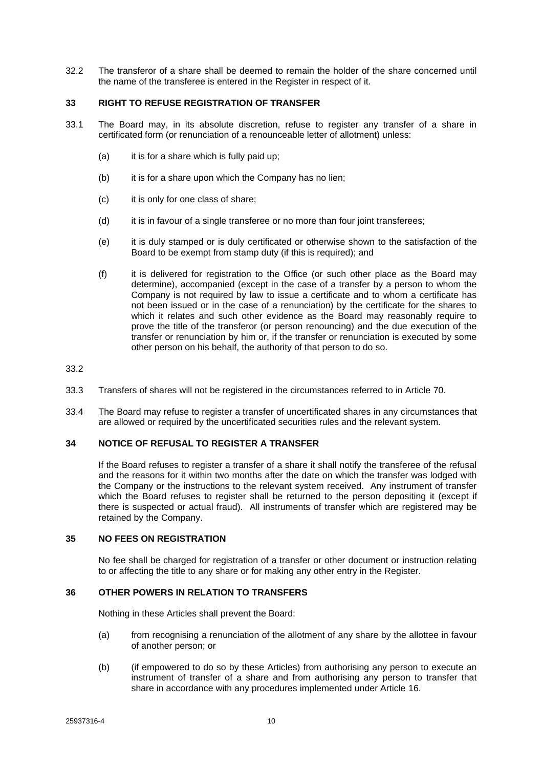32.2 The transferor of a share shall be deemed to remain the holder of the share concerned until the name of the transferee is entered in the Register in respect of it.

### <span id="page-14-0"></span>**33 RIGHT TO REFUSE REGISTRATION OF TRANSFER**

- 33.1 The Board may, in its absolute discretion, refuse to register any transfer of a share in certificated form (or renunciation of a renounceable letter of allotment) unless:
	- $(a)$  it is for a share which is fully paid up;
	- (b) it is for a share upon which the Company has no lien;
	- (c) it is only for one class of share;
	- (d) it is in favour of a single transferee or no more than four joint transferees;
	- (e) it is duly stamped or is duly certificated or otherwise shown to the satisfaction of the Board to be exempt from stamp duty (if this is required); and
	- (f) it is delivered for registration to the Office (or such other place as the Board may determine), accompanied (except in the case of a transfer by a person to whom the Company is not required by law to issue a certificate and to whom a certificate has not been issued or in the case of a renunciation) by the certificate for the shares to which it relates and such other evidence as the Board may reasonably require to prove the title of the transferor (or person renouncing) and the due execution of the transfer or renunciation by him or, if the transfer or renunciation is executed by some other person on his behalf, the authority of that person to do so.

33.2

- 33.3 Transfers of shares will not be registered in the circumstances referred to in Article [70.](#page-26-1)
- 33.4 The Board may refuse to register a transfer of uncertificated shares in any circumstances that are allowed or required by the uncertificated securities rules and the relevant system.

## <span id="page-14-1"></span>**34 NOTICE OF REFUSAL TO REGISTER A TRANSFER**

If the Board refuses to register a transfer of a share it shall notify the transferee of the refusal and the reasons for it within two months after the date on which the transfer was lodged with the Company or the instructions to the relevant system received. Any instrument of transfer which the Board refuses to register shall be returned to the person depositing it (except if there is suspected or actual fraud). All instruments of transfer which are registered may be retained by the Company.

### <span id="page-14-2"></span>**35 NO FEES ON REGISTRATION**

No fee shall be charged for registration of a transfer or other document or instruction relating to or affecting the title to any share or for making any other entry in the Register.

## <span id="page-14-3"></span>**36 OTHER POWERS IN RELATION TO TRANSFERS**

Nothing in these Articles shall prevent the Board:

- (a) from recognising a renunciation of the allotment of any share by the allottee in favour of another person; or
- (b) (if empowered to do so by these Articles) from authorising any person to execute an instrument of transfer of a share and from authorising any person to transfer that share in accordance with any procedures implemented under Article [16.](#page-10-2)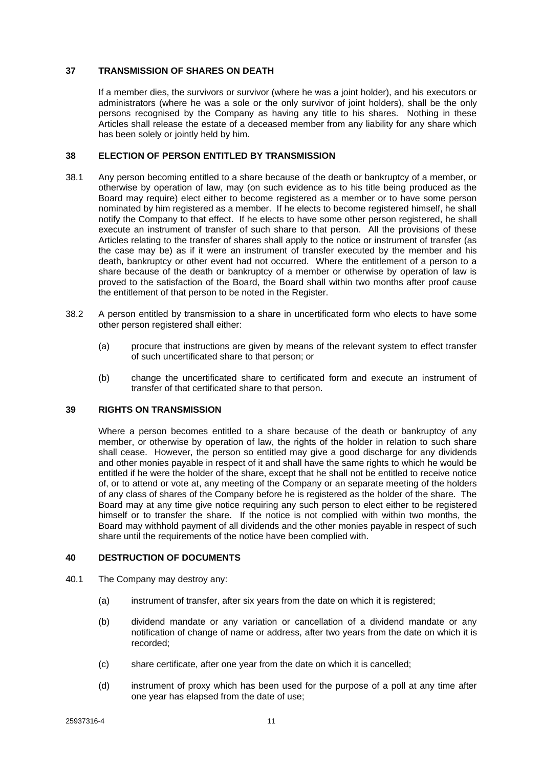## <span id="page-15-0"></span>**37 TRANSMISSION OF SHARES ON DEATH**

If a member dies, the survivors or survivor (where he was a joint holder), and his executors or administrators (where he was a sole or the only survivor of joint holders), shall be the only persons recognised by the Company as having any title to his shares. Nothing in these Articles shall release the estate of a deceased member from any liability for any share which has been solely or jointly held by him.

### <span id="page-15-1"></span>**38 ELECTION OF PERSON ENTITLED BY TRANSMISSION**

- 38.1 Any person becoming entitled to a share because of the death or bankruptcy of a member, or otherwise by operation of law, may (on such evidence as to his title being produced as the Board may require) elect either to become registered as a member or to have some person nominated by him registered as a member. If he elects to become registered himself, he shall notify the Company to that effect. If he elects to have some other person registered, he shall execute an instrument of transfer of such share to that person. All the provisions of these Articles relating to the transfer of shares shall apply to the notice or instrument of transfer (as the case may be) as if it were an instrument of transfer executed by the member and his death, bankruptcy or other event had not occurred. Where the entitlement of a person to a share because of the death or bankruptcy of a member or otherwise by operation of law is proved to the satisfaction of the Board, the Board shall within two months after proof cause the entitlement of that person to be noted in the Register.
- 38.2 A person entitled by transmission to a share in uncertificated form who elects to have some other person registered shall either:
	- (a) procure that instructions are given by means of the relevant system to effect transfer of such uncertificated share to that person; or
	- (b) change the uncertificated share to certificated form and execute an instrument of transfer of that certificated share to that person.

### <span id="page-15-2"></span>**39 RIGHTS ON TRANSMISSION**

Where a person becomes entitled to a share because of the death or bankruptcy of any member, or otherwise by operation of law, the rights of the holder in relation to such share shall cease. However, the person so entitled may give a good discharge for any dividends and other monies payable in respect of it and shall have the same rights to which he would be entitled if he were the holder of the share, except that he shall not be entitled to receive notice of, or to attend or vote at, any meeting of the Company or an separate meeting of the holders of any class of shares of the Company before he is registered as the holder of the share. The Board may at any time give notice requiring any such person to elect either to be registered himself or to transfer the share. If the notice is not complied with within two months, the Board may withhold payment of all dividends and the other monies payable in respect of such share until the requirements of the notice have been complied with.

## <span id="page-15-3"></span>**40 DESTRUCTION OF DOCUMENTS**

- 40.1 The Company may destroy any:
	- (a) instrument of transfer, after six years from the date on which it is registered;
	- (b) dividend mandate or any variation or cancellation of a dividend mandate or any notification of change of name or address, after two years from the date on which it is recorded;
	- (c) share certificate, after one year from the date on which it is cancelled;
	- (d) instrument of proxy which has been used for the purpose of a poll at any time after one year has elapsed from the date of use;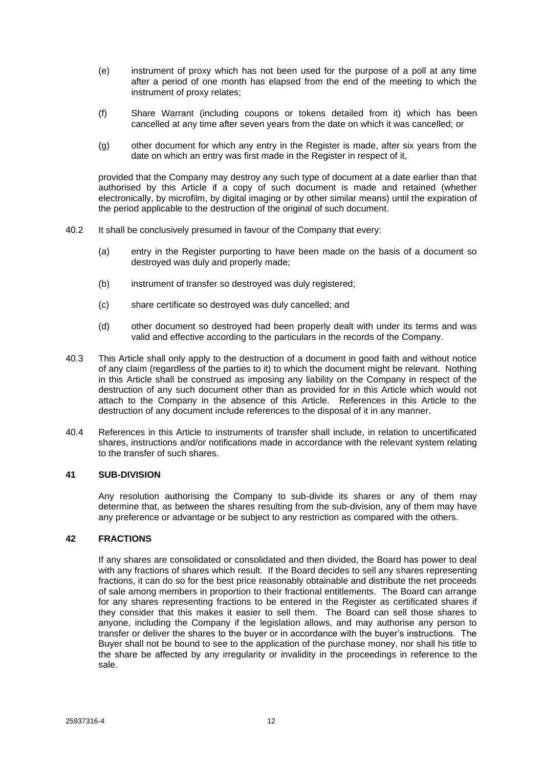- (e) instrument of proxy which has not been used for the purpose of a poll at any time after a period of one month has elapsed from the end of the meeting to which the instrument of proxy relates;
- (f) Share Warrant (including coupons or tokens detailed from it) which has been cancelled at any time after seven years from the date on which it was cancelled; or
- (g) other document for which any entry in the Register is made, after six years from the date on which an entry was first made in the Register in respect of it,

provided that the Company may destroy any such type of document at a date earlier than that authorised by this Article if a copy of such document is made and retained (whether electronically, by microfilm, by digital imaging or by other similar means) until the expiration of the period applicable to the destruction of the original of such document.

- 40.2 It shall be conclusively presumed in favour of the Company that every:
	- (a) entry in the Register purporting to have been made on the basis of a document so destroyed was duly and properly made;
	- (b) instrument of transfer so destroyed was duly registered;
	- (c) share certificate so destroyed was duly cancelled; and
	- (d) other document so destroyed had been properly dealt with under its terms and was valid and effective according to the particulars in the records of the Company.
- 40.3 This Article shall only apply to the destruction of a document in good faith and without notice of any claim (regardless of the parties to it) to which the document might be relevant. Nothing in this Article shall be construed as imposing any liability on the Company in respect of the destruction of any such document other than as provided for in this Article which would not attach to the Company in the absence of this Article. References in this Article to the destruction of any document include references to the disposal of it in any manner.
- 40.4 References in this Article to instruments of transfer shall include, in relation to uncertificated shares, instructions and/or notifications made in accordance with the relevant system relating to the transfer of such shares.

## <span id="page-16-0"></span>**41 SUB-DIVISION**

Any resolution authorising the Company to sub-divide its shares or any of them may determine that, as between the shares resulting from the sub-division, any of them may have any preference or advantage or be subject to any restriction as compared with the others.

### <span id="page-16-1"></span>**42 FRACTIONS**

If any shares are consolidated or consolidated and then divided, the Board has power to deal with any fractions of shares which result. If the Board decides to sell any shares representing fractions, it can do so for the best price reasonably obtainable and distribute the net proceeds of sale among members in proportion to their fractional entitlements. The Board can arrange for any shares representing fractions to be entered in the Register as certificated shares if they consider that this makes it easier to sell them. The Board can sell those shares to anyone, including the Company if the legislation allows, and may authorise any person to transfer or deliver the shares to the buyer or in accordance with the buyer's instructions. The Buyer shall not be bound to see to the application of the purchase money, nor shall his title to the share be affected by any irregularity or invalidity in the proceedings in reference to the sale.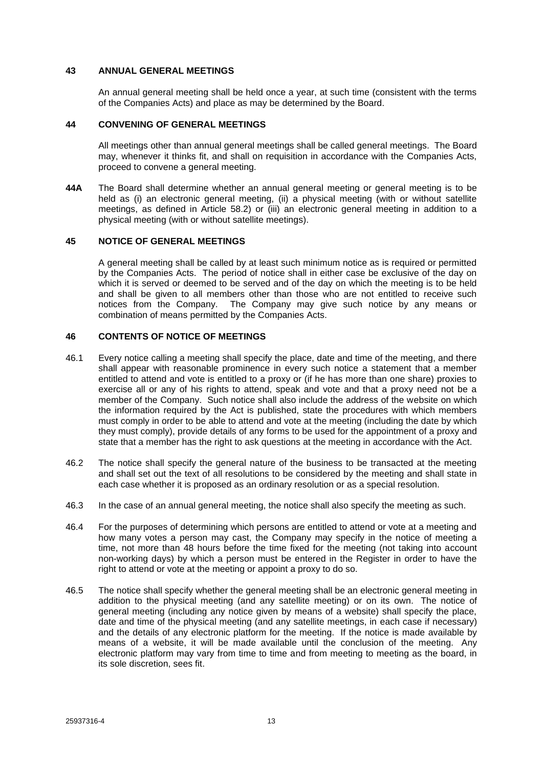### <span id="page-17-0"></span>**43 ANNUAL GENERAL MEETINGS**

An annual general meeting shall be held once a year, at such time (consistent with the terms of the Companies Acts) and place as may be determined by the Board.

## <span id="page-17-1"></span>**44 CONVENING OF GENERAL MEETINGS**

All meetings other than annual general meetings shall be called general meetings. The Board may, whenever it thinks fit, and shall on requisition in accordance with the Companies Acts, proceed to convene a general meeting.

**44A** The Board shall determine whether an annual general meeting or general meeting is to be held as (i) an electronic general meeting, (ii) a physical meeting (with or without satellite meetings, as defined in Article 58.2) or (iii) an electronic general meeting in addition to a physical meeting (with or without satellite meetings).

### <span id="page-17-2"></span>**45 NOTICE OF GENERAL MEETINGS**

A general meeting shall be called by at least such minimum notice as is required or permitted by the Companies Acts. The period of notice shall in either case be exclusive of the day on which it is served or deemed to be served and of the day on which the meeting is to be held and shall be given to all members other than those who are not entitled to receive such notices from the Company. The Company may give such notice by any means or combination of means permitted by the Companies Acts.

### <span id="page-17-3"></span>**46 CONTENTS OF NOTICE OF MEETINGS**

- 46.1 Every notice calling a meeting shall specify the place, date and time of the meeting, and there shall appear with reasonable prominence in every such notice a statement that a member entitled to attend and vote is entitled to a proxy or (if he has more than one share) proxies to exercise all or any of his rights to attend, speak and vote and that a proxy need not be a member of the Company. Such notice shall also include the address of the website on which the information required by the Act is published, state the procedures with which members must comply in order to be able to attend and vote at the meeting (including the date by which they must comply), provide details of any forms to be used for the appointment of a proxy and state that a member has the right to ask questions at the meeting in accordance with the Act.
- 46.2 The notice shall specify the general nature of the business to be transacted at the meeting and shall set out the text of all resolutions to be considered by the meeting and shall state in each case whether it is proposed as an ordinary resolution or as a special resolution.
- 46.3 In the case of an annual general meeting, the notice shall also specify the meeting as such.
- 46.4 For the purposes of determining which persons are entitled to attend or vote at a meeting and how many votes a person may cast, the Company may specify in the notice of meeting a time, not more than 48 hours before the time fixed for the meeting (not taking into account non-working days) by which a person must be entered in the Register in order to have the right to attend or vote at the meeting or appoint a proxy to do so.
- 46.5 The notice shall specify whether the general meeting shall be an electronic general meeting in addition to the physical meeting (and any satellite meeting) or on its own. The notice of general meeting (including any notice given by means of a website) shall specify the place, date and time of the physical meeting (and any satellite meetings, in each case if necessary) and the details of any electronic platform for the meeting. If the notice is made available by means of a website, it will be made available until the conclusion of the meeting. Any electronic platform may vary from time to time and from meeting to meeting as the board, in its sole discretion, sees fit.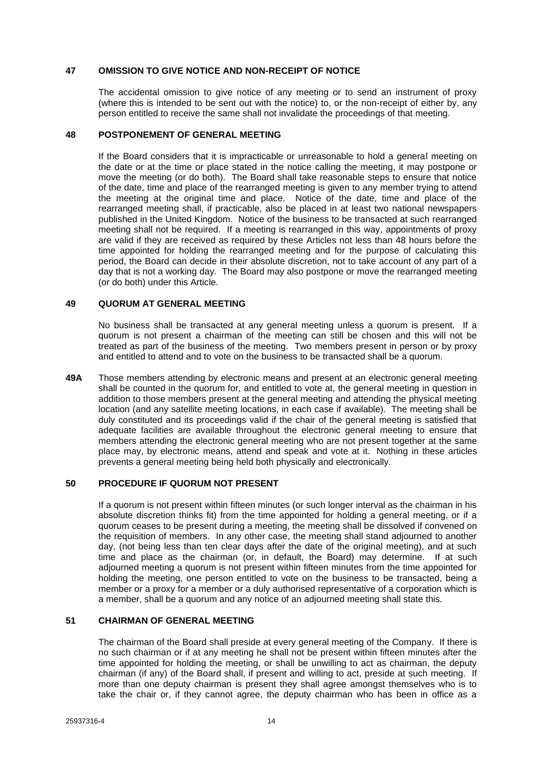### <span id="page-18-0"></span>**47 OMISSION TO GIVE NOTICE AND NON-RECEIPT OF NOTICE**

The accidental omission to give notice of any meeting or to send an instrument of proxy (where this is intended to be sent out with the notice) to, or the non-receipt of either by, any person entitled to receive the same shall not invalidate the proceedings of that meeting.

### <span id="page-18-1"></span>**48 POSTPONEMENT OF GENERAL MEETING**

If the Board considers that it is impracticable or unreasonable to hold a general meeting on the date or at the time or place stated in the notice calling the meeting, it may postpone or move the meeting (or do both). The Board shall take reasonable steps to ensure that notice of the date, time and place of the rearranged meeting is given to any member trying to attend the meeting at the original time and place. Notice of the date, time and place of the rearranged meeting shall, if practicable, also be placed in at least two national newspapers published in the United Kingdom. Notice of the business to be transacted at such rearranged meeting shall not be required. If a meeting is rearranged in this way, appointments of proxy are valid if they are received as required by these Articles not less than 48 hours before the time appointed for holding the rearranged meeting and for the purpose of calculating this period, the Board can decide in their absolute discretion, not to take account of any part of a day that is not a working day. The Board may also postpone or move the rearranged meeting (or do both) under this Article.

## <span id="page-18-2"></span>**49 QUORUM AT GENERAL MEETING**

No business shall be transacted at any general meeting unless a quorum is present. If a quorum is not present a chairman of the meeting can still be chosen and this will not be treated as part of the business of the meeting. Two members present in person or by proxy and entitled to attend and to vote on the business to be transacted shall be a quorum.

**49A** Those members attending by electronic means and present at an electronic general meeting shall be counted in the quorum for, and entitled to vote at, the general meeting in question in addition to those members present at the general meeting and attending the physical meeting location (and any satellite meeting locations, in each case if available). The meeting shall be duly constituted and its proceedings valid if the chair of the general meeting is satisfied that adequate facilities are available throughout the electronic general meeting to ensure that members attending the electronic general meeting who are not present together at the same place may, by electronic means, attend and speak and vote at it. Nothing in these articles prevents a general meeting being held both physically and electronically.

## <span id="page-18-3"></span>**50 PROCEDURE IF QUORUM NOT PRESENT**

If a quorum is not present within fifteen minutes (or such longer interval as the chairman in his absolute discretion thinks fit) from the time appointed for holding a general meeting, or if a quorum ceases to be present during a meeting, the meeting shall be dissolved if convened on the requisition of members. In any other case, the meeting shall stand adjourned to another day, (not being less than ten clear days after the date of the original meeting), and at such time and place as the chairman (or, in default, the Board) may determine. If at such adjourned meeting a quorum is not present within fifteen minutes from the time appointed for holding the meeting, one person entitled to vote on the business to be transacted, being a member or a proxy for a member or a duly authorised representative of a corporation which is a member, shall be a quorum and any notice of an adjourned meeting shall state this.

### <span id="page-18-4"></span>**51 CHAIRMAN OF GENERAL MEETING**

The chairman of the Board shall preside at every general meeting of the Company. If there is no such chairman or if at any meeting he shall not be present within fifteen minutes after the time appointed for holding the meeting, or shall be unwilling to act as chairman, the deputy chairman (if any) of the Board shall, if present and willing to act, preside at such meeting. If more than one deputy chairman is present they shall agree amongst themselves who is to take the chair or, if they cannot agree, the deputy chairman who has been in office as a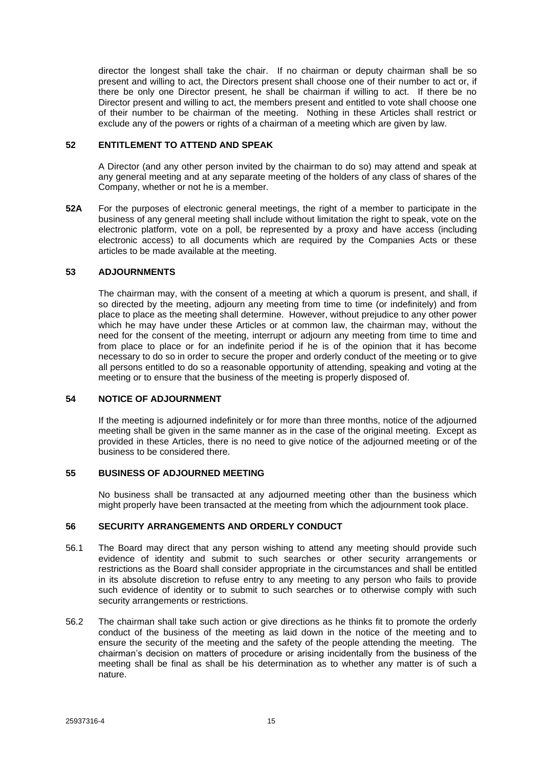director the longest shall take the chair. If no chairman or deputy chairman shall be so present and willing to act, the Directors present shall choose one of their number to act or, if there be only one Director present, he shall be chairman if willing to act. If there be no Director present and willing to act, the members present and entitled to vote shall choose one of their number to be chairman of the meeting. Nothing in these Articles shall restrict or exclude any of the powers or rights of a chairman of a meeting which are given by law.

## <span id="page-19-0"></span>**52 ENTITLEMENT TO ATTEND AND SPEAK**

A Director (and any other person invited by the chairman to do so) may attend and speak at any general meeting and at any separate meeting of the holders of any class of shares of the Company, whether or not he is a member.

**52A** For the purposes of electronic general meetings, the right of a member to participate in the business of any general meeting shall include without limitation the right to speak, vote on the electronic platform, vote on a poll, be represented by a proxy and have access (including electronic access) to all documents which are required by the Companies Acts or these articles to be made available at the meeting.

## <span id="page-19-1"></span>**53 ADJOURNMENTS**

The chairman may, with the consent of a meeting at which a quorum is present, and shall, if so directed by the meeting, adjourn any meeting from time to time (or indefinitely) and from place to place as the meeting shall determine. However, without prejudice to any other power which he may have under these Articles or at common law, the chairman may, without the need for the consent of the meeting, interrupt or adjourn any meeting from time to time and from place to place or for an indefinite period if he is of the opinion that it has become necessary to do so in order to secure the proper and orderly conduct of the meeting or to give all persons entitled to do so a reasonable opportunity of attending, speaking and voting at the meeting or to ensure that the business of the meeting is properly disposed of.

### <span id="page-19-2"></span>**54 NOTICE OF ADJOURNMENT**

If the meeting is adjourned indefinitely or for more than three months, notice of the adjourned meeting shall be given in the same manner as in the case of the original meeting. Except as provided in these Articles, there is no need to give notice of the adjourned meeting or of the business to be considered there.

## <span id="page-19-3"></span>**55 BUSINESS OF ADJOURNED MEETING**

No business shall be transacted at any adjourned meeting other than the business which might properly have been transacted at the meeting from which the adjournment took place.

## <span id="page-19-4"></span>**56 SECURITY ARRANGEMENTS AND ORDERLY CONDUCT**

- 56.1 The Board may direct that any person wishing to attend any meeting should provide such evidence of identity and submit to such searches or other security arrangements or restrictions as the Board shall consider appropriate in the circumstances and shall be entitled in its absolute discretion to refuse entry to any meeting to any person who fails to provide such evidence of identity or to submit to such searches or to otherwise comply with such security arrangements or restrictions.
- 56.2 The chairman shall take such action or give directions as he thinks fit to promote the orderly conduct of the business of the meeting as laid down in the notice of the meeting and to ensure the security of the meeting and the safety of the people attending the meeting. The chairman's decision on matters of procedure or arising incidentally from the business of the meeting shall be final as shall be his determination as to whether any matter is of such a nature.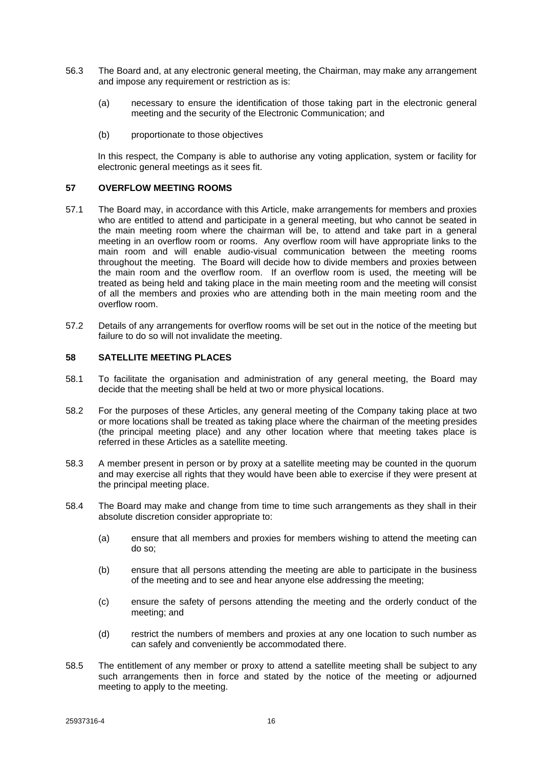- 56.3 The Board and, at any electronic general meeting, the Chairman, may make any arrangement and impose any requirement or restriction as is:
	- (a) necessary to ensure the identification of those taking part in the electronic general meeting and the security of the Electronic Communication; and
	- (b) proportionate to those objectives

In this respect, the Company is able to authorise any voting application, system or facility for electronic general meetings as it sees fit.

### <span id="page-20-0"></span>**57 OVERFLOW MEETING ROOMS**

- 57.1 The Board may, in accordance with this Article, make arrangements for members and proxies who are entitled to attend and participate in a general meeting, but who cannot be seated in the main meeting room where the chairman will be, to attend and take part in a general meeting in an overflow room or rooms. Any overflow room will have appropriate links to the main room and will enable audio-visual communication between the meeting rooms throughout the meeting. The Board will decide how to divide members and proxies between the main room and the overflow room. If an overflow room is used, the meeting will be treated as being held and taking place in the main meeting room and the meeting will consist of all the members and proxies who are attending both in the main meeting room and the overflow room.
- 57.2 Details of any arrangements for overflow rooms will be set out in the notice of the meeting but failure to do so will not invalidate the meeting.

## <span id="page-20-1"></span>**58 SATELLITE MEETING PLACES**

- 58.1 To facilitate the organisation and administration of any general meeting, the Board may decide that the meeting shall be held at two or more physical locations.
- 58.2 For the purposes of these Articles, any general meeting of the Company taking place at two or more locations shall be treated as taking place where the chairman of the meeting presides (the principal meeting place) and any other location where that meeting takes place is referred in these Articles as a satellite meeting.
- 58.3 A member present in person or by proxy at a satellite meeting may be counted in the quorum and may exercise all rights that they would have been able to exercise if they were present at the principal meeting place.
- 58.4 The Board may make and change from time to time such arrangements as they shall in their absolute discretion consider appropriate to:
	- (a) ensure that all members and proxies for members wishing to attend the meeting can do so;
	- (b) ensure that all persons attending the meeting are able to participate in the business of the meeting and to see and hear anyone else addressing the meeting;
	- (c) ensure the safety of persons attending the meeting and the orderly conduct of the meeting; and
	- (d) restrict the numbers of members and proxies at any one location to such number as can safely and conveniently be accommodated there.
- 58.5 The entitlement of any member or proxy to attend a satellite meeting shall be subject to any such arrangements then in force and stated by the notice of the meeting or adjourned meeting to apply to the meeting.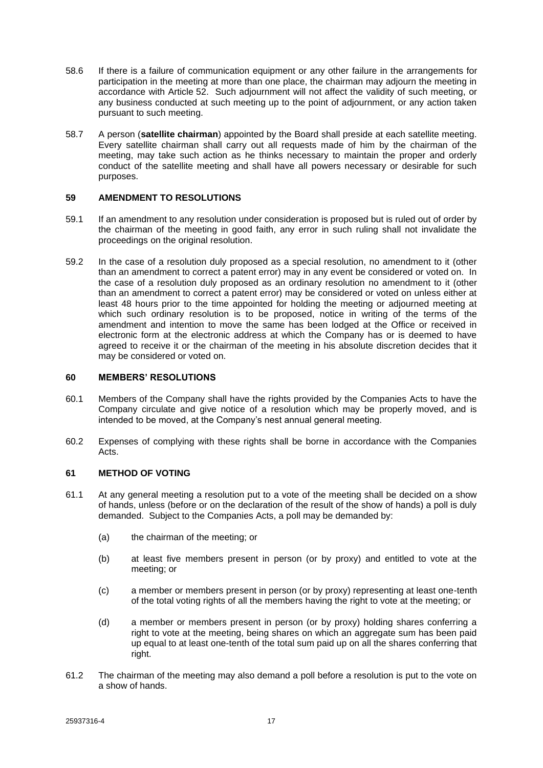- 58.6 If there is a failure of communication equipment or any other failure in the arrangements for participation in the meeting at more than one place, the chairman may adjourn the meeting in accordance with Article [52.](#page-19-0) Such adjournment will not affect the validity of such meeting, or any business conducted at such meeting up to the point of adjournment, or any action taken pursuant to such meeting.
- 58.7 A person (**satellite chairman**) appointed by the Board shall preside at each satellite meeting. Every satellite chairman shall carry out all requests made of him by the chairman of the meeting, may take such action as he thinks necessary to maintain the proper and orderly conduct of the satellite meeting and shall have all powers necessary or desirable for such purposes.

### <span id="page-21-0"></span>**59 AMENDMENT TO RESOLUTIONS**

- 59.1 If an amendment to any resolution under consideration is proposed but is ruled out of order by the chairman of the meeting in good faith, any error in such ruling shall not invalidate the proceedings on the original resolution.
- 59.2 In the case of a resolution duly proposed as a special resolution, no amendment to it (other than an amendment to correct a patent error) may in any event be considered or voted on. In the case of a resolution duly proposed as an ordinary resolution no amendment to it (other than an amendment to correct a patent error) may be considered or voted on unless either at least 48 hours prior to the time appointed for holding the meeting or adjourned meeting at which such ordinary resolution is to be proposed, notice in writing of the terms of the amendment and intention to move the same has been lodged at the Office or received in electronic form at the electronic address at which the Company has or is deemed to have agreed to receive it or the chairman of the meeting in his absolute discretion decides that it may be considered or voted on.

### <span id="page-21-1"></span>**60 MEMBERS' RESOLUTIONS**

- 60.1 Members of the Company shall have the rights provided by the Companies Acts to have the Company circulate and give notice of a resolution which may be properly moved, and is intended to be moved, at the Company's nest annual general meeting.
- 60.2 Expenses of complying with these rights shall be borne in accordance with the Companies Acts.

### <span id="page-21-2"></span>**61 METHOD OF VOTING**

- 61.1 At any general meeting a resolution put to a vote of the meeting shall be decided on a show of hands, unless (before or on the declaration of the result of the show of hands) a poll is duly demanded. Subject to the Companies Acts, a poll may be demanded by:
	- (a) the chairman of the meeting; or
	- (b) at least five members present in person (or by proxy) and entitled to vote at the meeting; or
	- (c) a member or members present in person (or by proxy) representing at least one-tenth of the total voting rights of all the members having the right to vote at the meeting; or
	- (d) a member or members present in person (or by proxy) holding shares conferring a right to vote at the meeting, being shares on which an aggregate sum has been paid up equal to at least one-tenth of the total sum paid up on all the shares conferring that right.
- 61.2 The chairman of the meeting may also demand a poll before a resolution is put to the vote on a show of hands.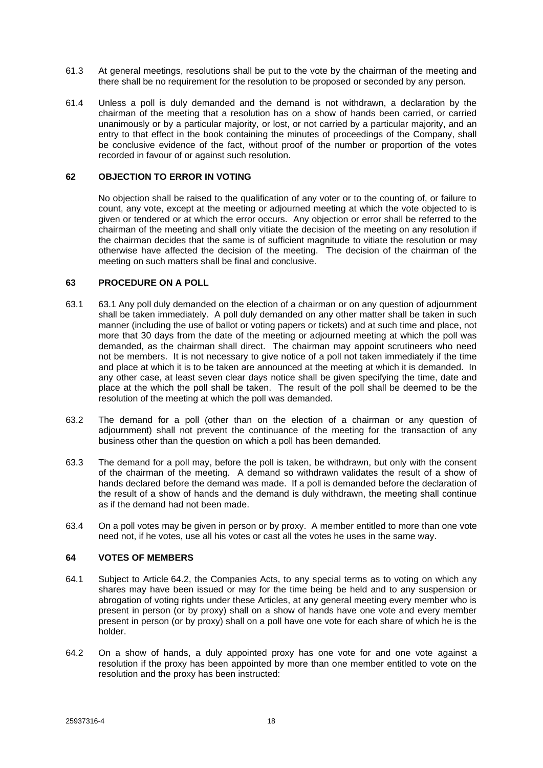- 61.3 At general meetings, resolutions shall be put to the vote by the chairman of the meeting and there shall be no requirement for the resolution to be proposed or seconded by any person.
- 61.4 Unless a poll is duly demanded and the demand is not withdrawn, a declaration by the chairman of the meeting that a resolution has on a show of hands been carried, or carried unanimously or by a particular majority, or lost, or not carried by a particular majority, and an entry to that effect in the book containing the minutes of proceedings of the Company, shall be conclusive evidence of the fact, without proof of the number or proportion of the votes recorded in favour of or against such resolution.

## <span id="page-22-0"></span>**62 OBJECTION TO ERROR IN VOTING**

No objection shall be raised to the qualification of any voter or to the counting of, or failure to count, any vote, except at the meeting or adjourned meeting at which the vote objected to is given or tendered or at which the error occurs. Any objection or error shall be referred to the chairman of the meeting and shall only vitiate the decision of the meeting on any resolution if the chairman decides that the same is of sufficient magnitude to vitiate the resolution or may otherwise have affected the decision of the meeting. The decision of the chairman of the meeting on such matters shall be final and conclusive.

### <span id="page-22-1"></span>**63 PROCEDURE ON A POLL**

- 63.1 63.1 Any poll duly demanded on the election of a chairman or on any question of adjournment shall be taken immediately. A poll duly demanded on any other matter shall be taken in such manner (including the use of ballot or voting papers or tickets) and at such time and place, not more that 30 days from the date of the meeting or adjourned meeting at which the poll was demanded, as the chairman shall direct. The chairman may appoint scrutineers who need not be members. It is not necessary to give notice of a poll not taken immediately if the time and place at which it is to be taken are announced at the meeting at which it is demanded. In any other case, at least seven clear days notice shall be given specifying the time, date and place at the which the poll shall be taken. The result of the poll shall be deemed to be the resolution of the meeting at which the poll was demanded.
- 63.2 The demand for a poll (other than on the election of a chairman or any question of adjournment) shall not prevent the continuance of the meeting for the transaction of any business other than the question on which a poll has been demanded.
- 63.3 The demand for a poll may, before the poll is taken, be withdrawn, but only with the consent of the chairman of the meeting. A demand so withdrawn validates the result of a show of hands declared before the demand was made. If a poll is demanded before the declaration of the result of a show of hands and the demand is duly withdrawn, the meeting shall continue as if the demand had not been made.
- 63.4 On a poll votes may be given in person or by proxy. A member entitled to more than one vote need not, if he votes, use all his votes or cast all the votes he uses in the same way.

## <span id="page-22-2"></span>**64 VOTES OF MEMBERS**

- 64.1 Subject to Article [64.2,](#page-22-3) the Companies Acts, to any special terms as to voting on which any shares may have been issued or may for the time being be held and to any suspension or abrogation of voting rights under these Articles, at any general meeting every member who is present in person (or by proxy) shall on a show of hands have one vote and every member present in person (or by proxy) shall on a poll have one vote for each share of which he is the holder.
- <span id="page-22-3"></span>64.2 On a show of hands, a duly appointed proxy has one vote for and one vote against a resolution if the proxy has been appointed by more than one member entitled to vote on the resolution and the proxy has been instructed: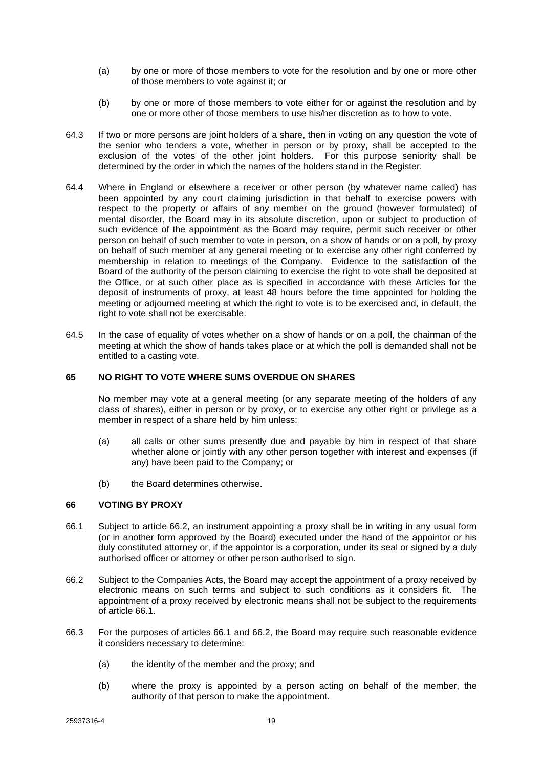- (a) by one or more of those members to vote for the resolution and by one or more other of those members to vote against it; or
- (b) by one or more of those members to vote either for or against the resolution and by one or more other of those members to use his/her discretion as to how to vote.
- 64.3 If two or more persons are joint holders of a share, then in voting on any question the vote of the senior who tenders a vote, whether in person or by proxy, shall be accepted to the exclusion of the votes of the other joint holders. For this purpose seniority shall be determined by the order in which the names of the holders stand in the Register.
- 64.4 Where in England or elsewhere a receiver or other person (by whatever name called) has been appointed by any court claiming jurisdiction in that behalf to exercise powers with respect to the property or affairs of any member on the ground (however formulated) of mental disorder, the Board may in its absolute discretion, upon or subject to production of such evidence of the appointment as the Board may require, permit such receiver or other person on behalf of such member to vote in person, on a show of hands or on a poll, by proxy on behalf of such member at any general meeting or to exercise any other right conferred by membership in relation to meetings of the Company. Evidence to the satisfaction of the Board of the authority of the person claiming to exercise the right to vote shall be deposited at the Office, or at such other place as is specified in accordance with these Articles for the deposit of instruments of proxy, at least 48 hours before the time appointed for holding the meeting or adjourned meeting at which the right to vote is to be exercised and, in default, the right to vote shall not be exercisable.
- 64.5 In the case of equality of votes whether on a show of hands or on a poll, the chairman of the meeting at which the show of hands takes place or at which the poll is demanded shall not be entitled to a casting vote.

## <span id="page-23-0"></span>**65 NO RIGHT TO VOTE WHERE SUMS OVERDUE ON SHARES**

No member may vote at a general meeting (or any separate meeting of the holders of any class of shares), either in person or by proxy, or to exercise any other right or privilege as a member in respect of a share held by him unless:

- (a) all calls or other sums presently due and payable by him in respect of that share whether alone or jointly with any other person together with interest and expenses (if any) have been paid to the Company; or
- (b) the Board determines otherwise.

### <span id="page-23-1"></span>**66 VOTING BY PROXY**

- <span id="page-23-3"></span>66.1 Subject to article [66.2,](#page-23-2) an instrument appointing a proxy shall be in writing in any usual form (or in another form approved by the Board) executed under the hand of the appointor or his duly constituted attorney or, if the appointor is a corporation, under its seal or signed by a duly authorised officer or attorney or other person authorised to sign.
- <span id="page-23-2"></span>66.2 Subject to the Companies Acts, the Board may accept the appointment of a proxy received by electronic means on such terms and subject to such conditions as it considers fit. The appointment of a proxy received by electronic means shall not be subject to the requirements of article [66.1.](#page-23-3)
- <span id="page-23-4"></span>66.3 For the purposes of articles [66.1](#page-23-3) and [66.2,](#page-23-2) the Board may require such reasonable evidence it considers necessary to determine:
	- (a) the identity of the member and the proxy; and
	- (b) where the proxy is appointed by a person acting on behalf of the member, the authority of that person to make the appointment.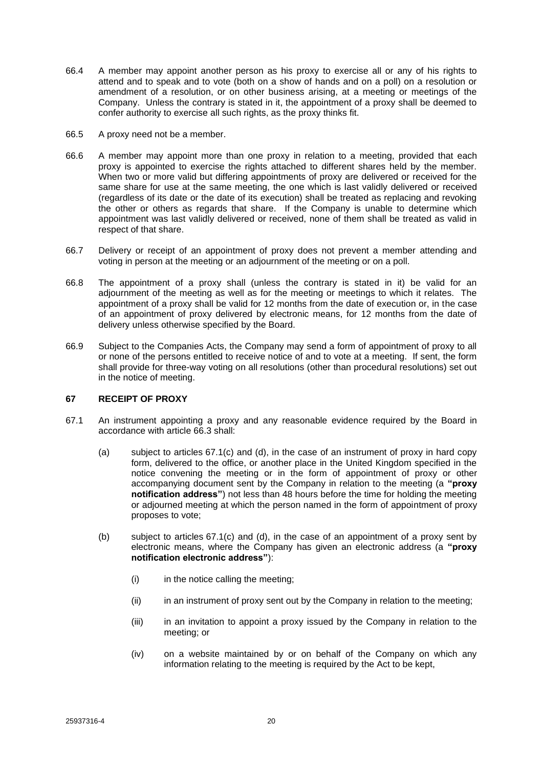- 66.4 A member may appoint another person as his proxy to exercise all or any of his rights to attend and to speak and to vote (both on a show of hands and on a poll) on a resolution or amendment of a resolution, or on other business arising, at a meeting or meetings of the Company. Unless the contrary is stated in it, the appointment of a proxy shall be deemed to confer authority to exercise all such rights, as the proxy thinks fit.
- 66.5 A proxy need not be a member.
- 66.6 A member may appoint more than one proxy in relation to a meeting, provided that each proxy is appointed to exercise the rights attached to different shares held by the member. When two or more valid but differing appointments of proxy are delivered or received for the same share for use at the same meeting, the one which is last validly delivered or received (regardless of its date or the date of its execution) shall be treated as replacing and revoking the other or others as regards that share. If the Company is unable to determine which appointment was last validly delivered or received, none of them shall be treated as valid in respect of that share.
- 66.7 Delivery or receipt of an appointment of proxy does not prevent a member attending and voting in person at the meeting or an adjournment of the meeting or on a poll.
- 66.8 The appointment of a proxy shall (unless the contrary is stated in it) be valid for an adjournment of the meeting as well as for the meeting or meetings to which it relates. The appointment of a proxy shall be valid for 12 months from the date of execution or, in the case of an appointment of proxy delivered by electronic means, for 12 months from the date of delivery unless otherwise specified by the Board.
- 66.9 Subject to the Companies Acts, the Company may send a form of appointment of proxy to all or none of the persons entitled to receive notice of and to vote at a meeting. If sent, the form shall provide for three-way voting on all resolutions (other than procedural resolutions) set out in the notice of meeting.

## <span id="page-24-0"></span>**67 RECEIPT OF PROXY**

- <span id="page-24-2"></span><span id="page-24-1"></span>67.1 An instrument appointing a proxy and any reasonable evidence required by the Board in accordance with article [66.3](#page-23-4) shall:
	- (a) subject to articles [67.1\(c\)](#page-25-1) and [\(d\),](#page-25-2) in the case of an instrument of proxy in hard copy form, delivered to the office, or another place in the United Kingdom specified in the notice convening the meeting or in the form of appointment of proxy or other accompanying document sent by the Company in relation to the meeting (a **"proxy notification address"**) not less than 48 hours before the time for holding the meeting or adjourned meeting at which the person named in the form of appointment of proxy proposes to vote;
	- (b) subject to articles [67.1\(c\)](#page-25-1) and [\(d\),](#page-25-2) in the case of an appointment of a proxy sent by electronic means, where the Company has given an electronic address (a **"proxy notification electronic address"**):
		- (i) in the notice calling the meeting;
		- (ii) in an instrument of proxy sent out by the Company in relation to the meeting;
		- (iii) in an invitation to appoint a proxy issued by the Company in relation to the meeting; or
		- (iv) on a website maintained by or on behalf of the Company on which any information relating to the meeting is required by the Act to be kept,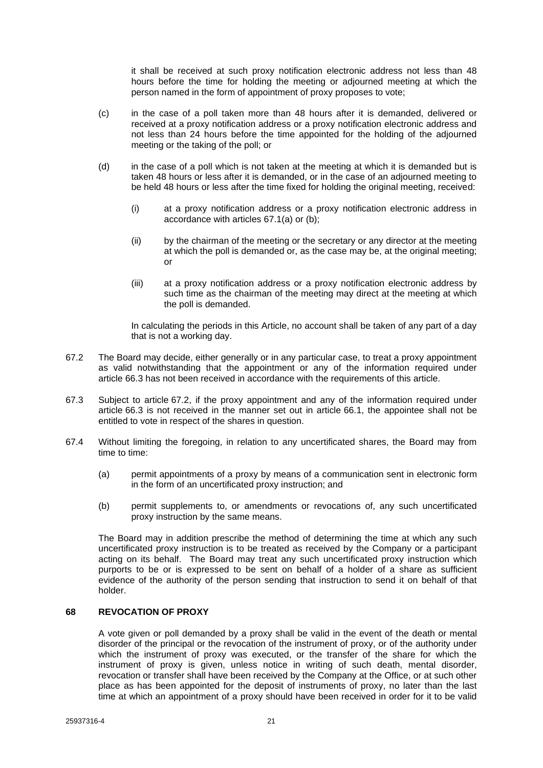it shall be received at such proxy notification electronic address not less than 48 hours before the time for holding the meeting or adjourned meeting at which the person named in the form of appointment of proxy proposes to vote;

- <span id="page-25-1"></span>(c) in the case of a poll taken more than 48 hours after it is demanded, delivered or received at a proxy notification address or a proxy notification electronic address and not less than 24 hours before the time appointed for the holding of the adjourned meeting or the taking of the poll; or
- <span id="page-25-2"></span>(d) in the case of a poll which is not taken at the meeting at which it is demanded but is taken 48 hours or less after it is demanded, or in the case of an adjourned meeting to be held 48 hours or less after the time fixed for holding the original meeting, received:
	- (i) at a proxy notification address or a proxy notification electronic address in accordance with articles [67.1\(a\)](#page-24-1) or [\(b\);](#page-24-2)
	- (ii) by the chairman of the meeting or the secretary or any director at the meeting at which the poll is demanded or, as the case may be, at the original meeting; or
	- (iii) at a proxy notification address or a proxy notification electronic address by such time as the chairman of the meeting may direct at the meeting at which the poll is demanded.

In calculating the periods in this Article, no account shall be taken of any part of a day that is not a working day.

- <span id="page-25-3"></span>67.2 The Board may decide, either generally or in any particular case, to treat a proxy appointment as valid notwithstanding that the appointment or any of the information required under article [66.3](#page-23-4) has not been received in accordance with the requirements of this article.
- 67.3 Subject to article [67.2,](#page-25-3) if the proxy appointment and any of the information required under article [66.3](#page-23-4) is not received in the manner set out in article [66.1,](#page-23-3) the appointee shall not be entitled to vote in respect of the shares in question.
- 67.4 Without limiting the foregoing, in relation to any uncertificated shares, the Board may from time to time:
	- (a) permit appointments of a proxy by means of a communication sent in electronic form in the form of an uncertificated proxy instruction; and
	- (b) permit supplements to, or amendments or revocations of, any such uncertificated proxy instruction by the same means.

The Board may in addition prescribe the method of determining the time at which any such uncertificated proxy instruction is to be treated as received by the Company or a participant acting on its behalf. The Board may treat any such uncertificated proxy instruction which purports to be or is expressed to be sent on behalf of a holder of a share as sufficient evidence of the authority of the person sending that instruction to send it on behalf of that holder.

### <span id="page-25-0"></span>**68 REVOCATION OF PROXY**

A vote given or poll demanded by a proxy shall be valid in the event of the death or mental disorder of the principal or the revocation of the instrument of proxy, or of the authority under which the instrument of proxy was executed, or the transfer of the share for which the instrument of proxy is given, unless notice in writing of such death, mental disorder, revocation or transfer shall have been received by the Company at the Office, or at such other place as has been appointed for the deposit of instruments of proxy, no later than the last time at which an appointment of a proxy should have been received in order for it to be valid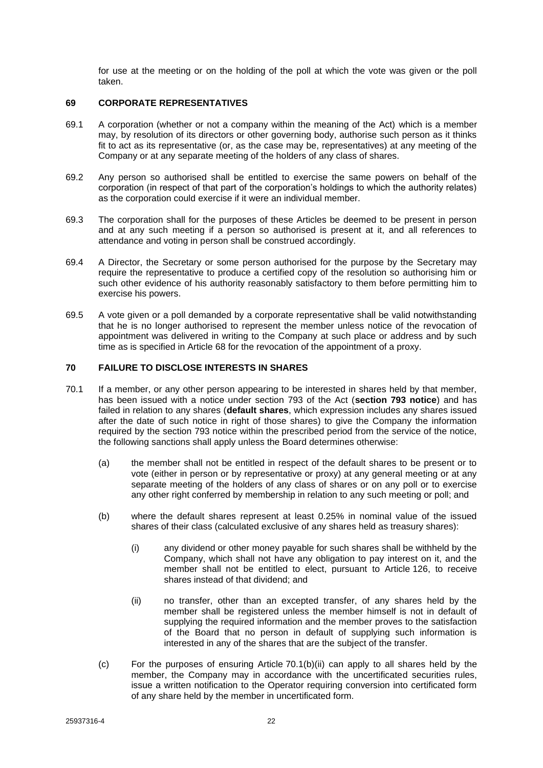for use at the meeting or on the holding of the poll at which the vote was given or the poll taken.

### <span id="page-26-0"></span>**69 CORPORATE REPRESENTATIVES**

- 69.1 A corporation (whether or not a company within the meaning of the Act) which is a member may, by resolution of its directors or other governing body, authorise such person as it thinks fit to act as its representative (or, as the case may be, representatives) at any meeting of the Company or at any separate meeting of the holders of any class of shares.
- 69.2 Any person so authorised shall be entitled to exercise the same powers on behalf of the corporation (in respect of that part of the corporation's holdings to which the authority relates) as the corporation could exercise if it were an individual member.
- 69.3 The corporation shall for the purposes of these Articles be deemed to be present in person and at any such meeting if a person so authorised is present at it, and all references to attendance and voting in person shall be construed accordingly.
- 69.4 A Director, the Secretary or some person authorised for the purpose by the Secretary may require the representative to produce a certified copy of the resolution so authorising him or such other evidence of his authority reasonably satisfactory to them before permitting him to exercise his powers.
- 69.5 A vote given or a poll demanded by a corporate representative shall be valid notwithstanding that he is no longer authorised to represent the member unless notice of the revocation of appointment was delivered in writing to the Company at such place or address and by such time as is specified in Article [68](#page-25-0) for the revocation of the appointment of a proxy.

### <span id="page-26-1"></span>**70 FAILURE TO DISCLOSE INTERESTS IN SHARES**

- <span id="page-26-4"></span><span id="page-26-3"></span><span id="page-26-2"></span>70.1 If a member, or any other person appearing to be interested in shares held by that member, has been issued with a notice under section 793 of the Act (**section 793 notice**) and has failed in relation to any shares (**default shares**, which expression includes any shares issued after the date of such notice in right of those shares) to give the Company the information required by the section 793 notice within the prescribed period from the service of the notice, the following sanctions shall apply unless the Board determines otherwise:
	- (a) the member shall not be entitled in respect of the default shares to be present or to vote (either in person or by representative or proxy) at any general meeting or at any separate meeting of the holders of any class of shares or on any poll or to exercise any other right conferred by membership in relation to any such meeting or poll; and
	- (b) where the default shares represent at least 0.25% in nominal value of the issued shares of their class (calculated exclusive of any shares held as treasury shares):
		- (i) any dividend or other money payable for such shares shall be withheld by the Company, which shall not have any obligation to pay interest on it, and the member shall not be entitled to elect, pursuant to Article [126,](#page-43-0) to receive shares instead of that dividend; and
		- (ii) no transfer, other than an excepted transfer, of any shares held by the member shall be registered unless the member himself is not in default of supplying the required information and the member proves to the satisfaction of the Board that no person in default of supplying such information is interested in any of the shares that are the subject of the transfer.
	- (c) For the purposes of ensuring Article [70.1\(b\)\(ii\)](#page-26-2) can apply to all shares held by the member, the Company may in accordance with the uncertificated securities rules, issue a written notification to the Operator requiring conversion into certificated form of any share held by the member in uncertificated form.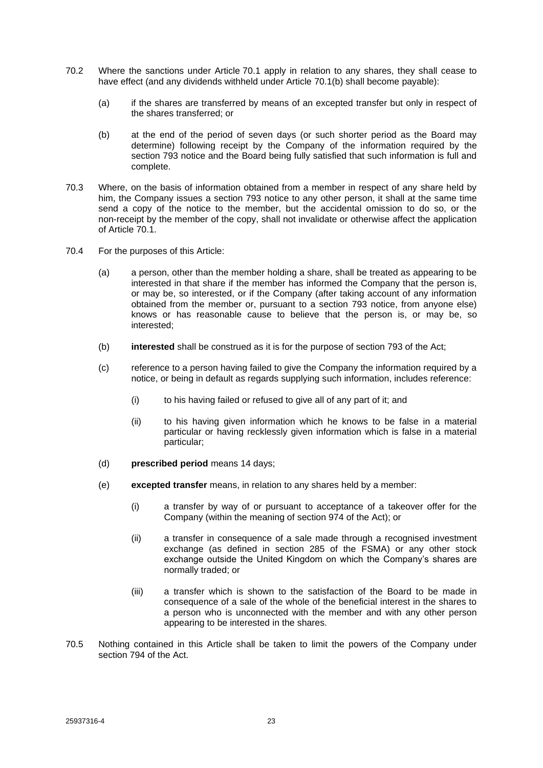- 70.2 Where the sanctions under Article [70.1](#page-26-3) apply in relation to any shares, they shall cease to have effect (and any dividends withheld under Article [70.1\(b\)](#page-26-4) shall become payable):
	- (a) if the shares are transferred by means of an excepted transfer but only in respect of the shares transferred; or
	- (b) at the end of the period of seven days (or such shorter period as the Board may determine) following receipt by the Company of the information required by the section 793 notice and the Board being fully satisfied that such information is full and complete.
- 70.3 Where, on the basis of information obtained from a member in respect of any share held by him, the Company issues a section 793 notice to any other person, it shall at the same time send a copy of the notice to the member, but the accidental omission to do so, or the non-receipt by the member of the copy, shall not invalidate or otherwise affect the application of Article [70.1.](#page-26-3)
- 70.4 For the purposes of this Article:
	- (a) a person, other than the member holding a share, shall be treated as appearing to be interested in that share if the member has informed the Company that the person is, or may be, so interested, or if the Company (after taking account of any information obtained from the member or, pursuant to a section 793 notice, from anyone else) knows or has reasonable cause to believe that the person is, or may be, so interested;
	- (b) **interested** shall be construed as it is for the purpose of section 793 of the Act;
	- (c) reference to a person having failed to give the Company the information required by a notice, or being in default as regards supplying such information, includes reference:
		- (i) to his having failed or refused to give all of any part of it; and
		- (ii) to his having given information which he knows to be false in a material particular or having recklessly given information which is false in a material particular;
	- (d) **prescribed period** means 14 days;
	- (e) **excepted transfer** means, in relation to any shares held by a member:
		- (i) a transfer by way of or pursuant to acceptance of a takeover offer for the Company (within the meaning of section 974 of the Act); or
		- (ii) a transfer in consequence of a sale made through a recognised investment exchange (as defined in section 285 of the FSMA) or any other stock exchange outside the United Kingdom on which the Company's shares are normally traded; or
		- (iii) a transfer which is shown to the satisfaction of the Board to be made in consequence of a sale of the whole of the beneficial interest in the shares to a person who is unconnected with the member and with any other person appearing to be interested in the shares.
- 70.5 Nothing contained in this Article shall be taken to limit the powers of the Company under section 794 of the Act.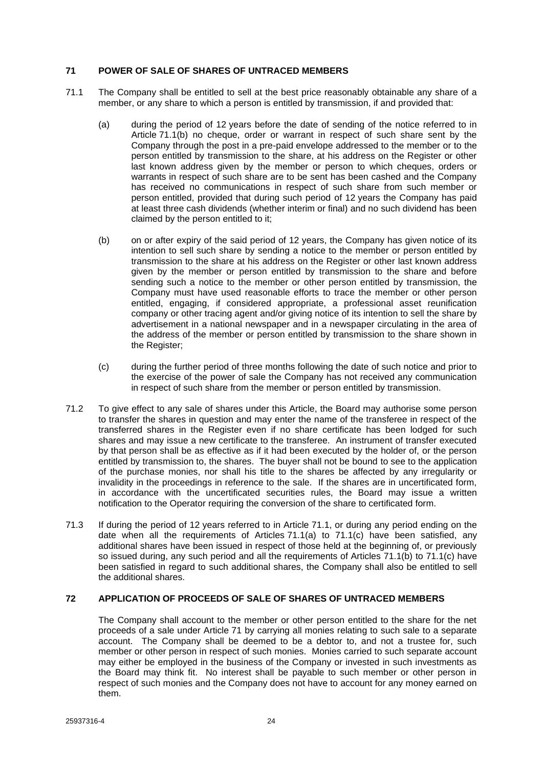## <span id="page-28-0"></span>**71 POWER OF SALE OF SHARES OF UNTRACED MEMBERS**

- <span id="page-28-4"></span><span id="page-28-3"></span><span id="page-28-2"></span>71.1 The Company shall be entitled to sell at the best price reasonably obtainable any share of a member, or any share to which a person is entitled by transmission, if and provided that:
	- (a) during the period of 12 years before the date of sending of the notice referred to in Article [71.1\(b\)](#page-28-2) no cheque, order or warrant in respect of such share sent by the Company through the post in a pre-paid envelope addressed to the member or to the person entitled by transmission to the share, at his address on the Register or other last known address given by the member or person to which cheques, orders or warrants in respect of such share are to be sent has been cashed and the Company has received no communications in respect of such share from such member or person entitled, provided that during such period of 12 years the Company has paid at least three cash dividends (whether interim or final) and no such dividend has been claimed by the person entitled to it;
	- (b) on or after expiry of the said period of 12 years, the Company has given notice of its intention to sell such share by sending a notice to the member or person entitled by transmission to the share at his address on the Register or other last known address given by the member or person entitled by transmission to the share and before sending such a notice to the member or other person entitled by transmission, the Company must have used reasonable efforts to trace the member or other person entitled, engaging, if considered appropriate, a professional asset reunification company or other tracing agent and/or giving notice of its intention to sell the share by advertisement in a national newspaper and in a newspaper circulating in the area of the address of the member or person entitled by transmission to the share shown in the Register;
	- (c) during the further period of three months following the date of such notice and prior to the exercise of the power of sale the Company has not received any communication in respect of such share from the member or person entitled by transmission.
- <span id="page-28-5"></span>71.2 To give effect to any sale of shares under this Article, the Board may authorise some person to transfer the shares in question and may enter the name of the transferee in respect of the transferred shares in the Register even if no share certificate has been lodged for such shares and may issue a new certificate to the transferee. An instrument of transfer executed by that person shall be as effective as if it had been executed by the holder of, or the person entitled by transmission to, the shares. The buyer shall not be bound to see to the application of the purchase monies, nor shall his title to the shares be affected by any irregularity or invalidity in the proceedings in reference to the sale. If the shares are in uncertificated form, in accordance with the uncertificated securities rules, the Board may issue a written notification to the Operator requiring the conversion of the share to certificated form.
- 71.3 If during the period of 12 years referred to in Article [71.1,](#page-28-3) or during any period ending on the date when all the requirements of Articles  $71.1(a)$  to  $71.1(c)$  have been satisfied, any additional shares have been issued in respect of those held at the beginning of, or previously so issued during, any such period and all the requirements of Articles [71.1\(b\)](#page-28-2) to [71.1\(c\)](#page-28-5) have been satisfied in regard to such additional shares, the Company shall also be entitled to sell the additional shares.

## <span id="page-28-1"></span>**72 APPLICATION OF PROCEEDS OF SALE OF SHARES OF UNTRACED MEMBERS**

The Company shall account to the member or other person entitled to the share for the net proceeds of a sale under Article [71](#page-28-0) by carrying all monies relating to such sale to a separate account. The Company shall be deemed to be a debtor to, and not a trustee for, such member or other person in respect of such monies. Monies carried to such separate account may either be employed in the business of the Company or invested in such investments as the Board may think fit. No interest shall be payable to such member or other person in respect of such monies and the Company does not have to account for any money earned on them.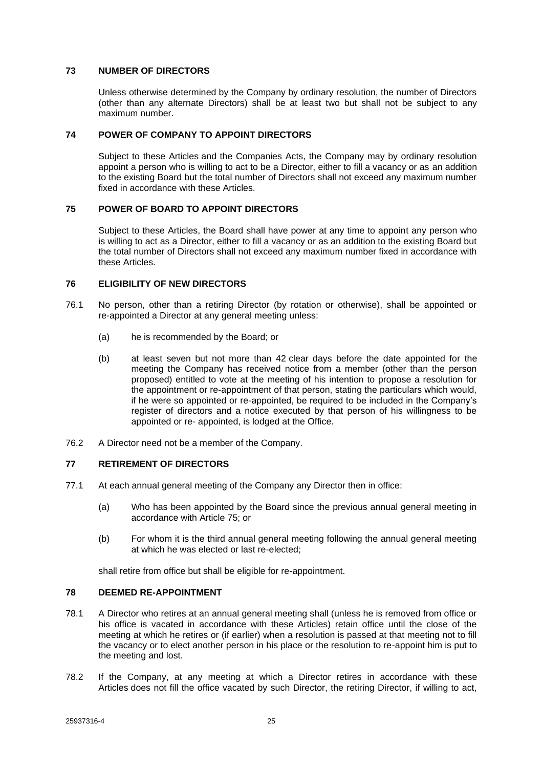### <span id="page-29-0"></span>**73 NUMBER OF DIRECTORS**

Unless otherwise determined by the Company by ordinary resolution, the number of Directors (other than any alternate Directors) shall be at least two but shall not be subject to any maximum number.

## <span id="page-29-1"></span>**74 POWER OF COMPANY TO APPOINT DIRECTORS**

Subject to these Articles and the Companies Acts, the Company may by ordinary resolution appoint a person who is willing to act to be a Director, either to fill a vacancy or as an addition to the existing Board but the total number of Directors shall not exceed any maximum number fixed in accordance with these Articles.

## <span id="page-29-2"></span>**75 POWER OF BOARD TO APPOINT DIRECTORS**

Subject to these Articles, the Board shall have power at any time to appoint any person who is willing to act as a Director, either to fill a vacancy or as an addition to the existing Board but the total number of Directors shall not exceed any maximum number fixed in accordance with these Articles.

## <span id="page-29-3"></span>**76 ELIGIBILITY OF NEW DIRECTORS**

- 76.1 No person, other than a retiring Director (by rotation or otherwise), shall be appointed or re-appointed a Director at any general meeting unless:
	- (a) he is recommended by the Board; or
	- (b) at least seven but not more than 42 clear days before the date appointed for the meeting the Company has received notice from a member (other than the person proposed) entitled to vote at the meeting of his intention to propose a resolution for the appointment or re-appointment of that person, stating the particulars which would, if he were so appointed or re-appointed, be required to be included in the Company's register of directors and a notice executed by that person of his willingness to be appointed or re- appointed, is lodged at the Office.
- 76.2 A Director need not be a member of the Company.

### <span id="page-29-4"></span>**77 RETIREMENT OF DIRECTORS**

- 77.1 At each annual general meeting of the Company any Director then in office:
	- (a) Who has been appointed by the Board since the previous annual general meeting in accordance with Article [75;](#page-29-2) or
	- (b) For whom it is the third annual general meeting following the annual general meeting at which he was elected or last re-elected;

shall retire from office but shall be eligible for re-appointment.

### <span id="page-29-5"></span>**78 DEEMED RE-APPOINTMENT**

- 78.1 A Director who retires at an annual general meeting shall (unless he is removed from office or his office is vacated in accordance with these Articles) retain office until the close of the meeting at which he retires or (if earlier) when a resolution is passed at that meeting not to fill the vacancy or to elect another person in his place or the resolution to re-appoint him is put to the meeting and lost.
- 78.2 If the Company, at any meeting at which a Director retires in accordance with these Articles does not fill the office vacated by such Director, the retiring Director, if willing to act,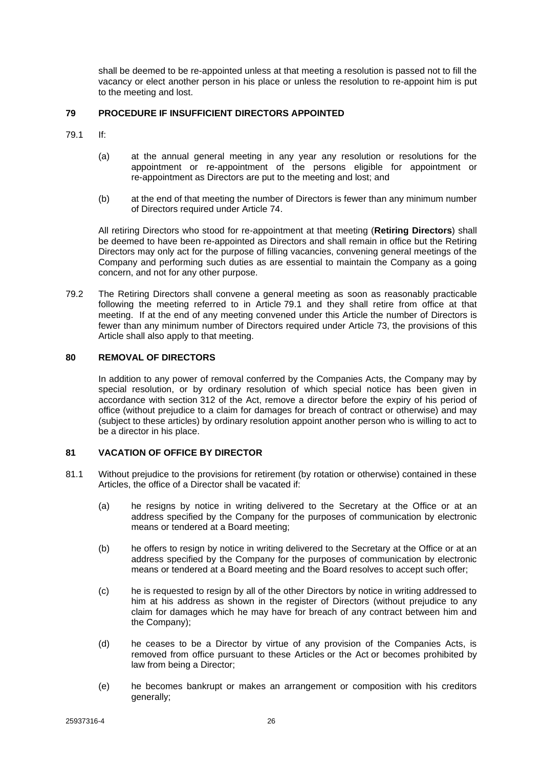shall be deemed to be re-appointed unless at that meeting a resolution is passed not to fill the vacancy or elect another person in his place or unless the resolution to re-appoint him is put to the meeting and lost.

## <span id="page-30-0"></span>**79 PROCEDURE IF INSUFFICIENT DIRECTORS APPOINTED**

- <span id="page-30-3"></span>79.1 If:
	- (a) at the annual general meeting in any year any resolution or resolutions for the appointment or re-appointment of the persons eligible for appointment or re-appointment as Directors are put to the meeting and lost; and
	- (b) at the end of that meeting the number of Directors is fewer than any minimum number of Directors required under Article [74.](#page-29-1)

All retiring Directors who stood for re-appointment at that meeting (**Retiring Directors**) shall be deemed to have been re-appointed as Directors and shall remain in office but the Retiring Directors may only act for the purpose of filling vacancies, convening general meetings of the Company and performing such duties as are essential to maintain the Company as a going concern, and not for any other purpose.

79.2 The Retiring Directors shall convene a general meeting as soon as reasonably practicable following the meeting referred to in Article [79.1](#page-30-3) and they shall retire from office at that meeting. If at the end of any meeting convened under this Article the number of Directors is fewer than any minimum number of Directors required under Article [73,](#page-29-0) the provisions of this Article shall also apply to that meeting.

## <span id="page-30-1"></span>**80 REMOVAL OF DIRECTORS**

In addition to any power of removal conferred by the Companies Acts, the Company may by special resolution, or by ordinary resolution of which special notice has been given in accordance with section 312 of the Act, remove a director before the expiry of his period of office (without prejudice to a claim for damages for breach of contract or otherwise) and may (subject to these articles) by ordinary resolution appoint another person who is willing to act to be a director in his place.

## <span id="page-30-2"></span>**81 VACATION OF OFFICE BY DIRECTOR**

- 81.1 Without prejudice to the provisions for retirement (by rotation or otherwise) contained in these Articles, the office of a Director shall be vacated if:
	- (a) he resigns by notice in writing delivered to the Secretary at the Office or at an address specified by the Company for the purposes of communication by electronic means or tendered at a Board meeting;
	- (b) he offers to resign by notice in writing delivered to the Secretary at the Office or at an address specified by the Company for the purposes of communication by electronic means or tendered at a Board meeting and the Board resolves to accept such offer;
	- (c) he is requested to resign by all of the other Directors by notice in writing addressed to him at his address as shown in the register of Directors (without prejudice to any claim for damages which he may have for breach of any contract between him and the Company);
	- (d) he ceases to be a Director by virtue of any provision of the Companies Acts, is removed from office pursuant to these Articles or the Act or becomes prohibited by law from being a Director;
	- (e) he becomes bankrupt or makes an arrangement or composition with his creditors generally;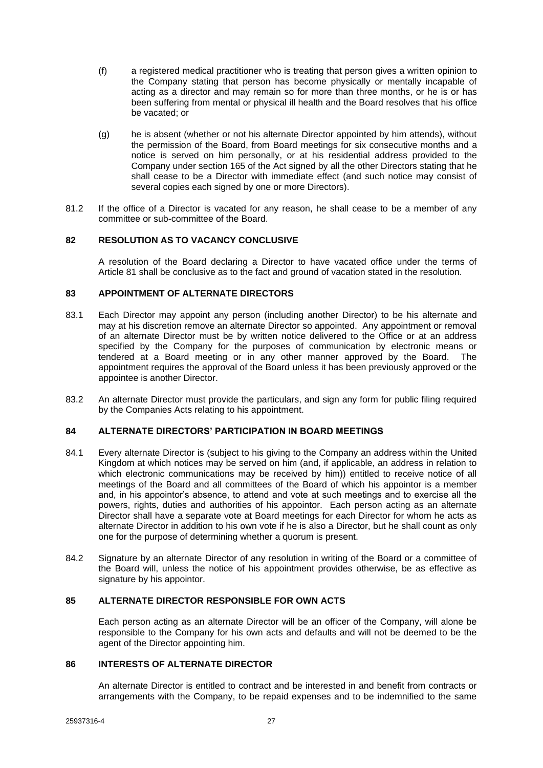- (f) a registered medical practitioner who is treating that person gives a written opinion to the Company stating that person has become physically or mentally incapable of acting as a director and may remain so for more than three months, or he is or has been suffering from mental or physical ill health and the Board resolves that his office be vacated; or
- (g) he is absent (whether or not his alternate Director appointed by him attends), without the permission of the Board, from Board meetings for six consecutive months and a notice is served on him personally, or at his residential address provided to the Company under section 165 of the Act signed by all the other Directors stating that he shall cease to be a Director with immediate effect (and such notice may consist of several copies each signed by one or more Directors).
- 81.2 If the office of a Director is vacated for any reason, he shall cease to be a member of any committee or sub-committee of the Board.

## <span id="page-31-0"></span>**82 RESOLUTION AS TO VACANCY CONCLUSIVE**

A resolution of the Board declaring a Director to have vacated office under the terms of Article [81](#page-30-2) shall be conclusive as to the fact and ground of vacation stated in the resolution.

## <span id="page-31-1"></span>**83 APPOINTMENT OF ALTERNATE DIRECTORS**

- 83.1 Each Director may appoint any person (including another Director) to be his alternate and may at his discretion remove an alternate Director so appointed. Any appointment or removal of an alternate Director must be by written notice delivered to the Office or at an address specified by the Company for the purposes of communication by electronic means or tendered at a Board meeting or in any other manner approved by the Board. The appointment requires the approval of the Board unless it has been previously approved or the appointee is another Director.
- 83.2 An alternate Director must provide the particulars, and sign any form for public filing required by the Companies Acts relating to his appointment.

### <span id="page-31-2"></span>**84 ALTERNATE DIRECTORS' PARTICIPATION IN BOARD MEETINGS**

- 84.1 Every alternate Director is (subject to his giving to the Company an address within the United Kingdom at which notices may be served on him (and, if applicable, an address in relation to which electronic communications may be received by him)) entitled to receive notice of all meetings of the Board and all committees of the Board of which his appointor is a member and, in his appointor's absence, to attend and vote at such meetings and to exercise all the powers, rights, duties and authorities of his appointor. Each person acting as an alternate Director shall have a separate vote at Board meetings for each Director for whom he acts as alternate Director in addition to his own vote if he is also a Director, but he shall count as only one for the purpose of determining whether a quorum is present.
- 84.2 Signature by an alternate Director of any resolution in writing of the Board or a committee of the Board will, unless the notice of his appointment provides otherwise, be as effective as signature by his appointor.

## <span id="page-31-3"></span>**85 ALTERNATE DIRECTOR RESPONSIBLE FOR OWN ACTS**

Each person acting as an alternate Director will be an officer of the Company, will alone be responsible to the Company for his own acts and defaults and will not be deemed to be the agent of the Director appointing him.

## <span id="page-31-4"></span>**86 INTERESTS OF ALTERNATE DIRECTOR**

An alternate Director is entitled to contract and be interested in and benefit from contracts or arrangements with the Company, to be repaid expenses and to be indemnified to the same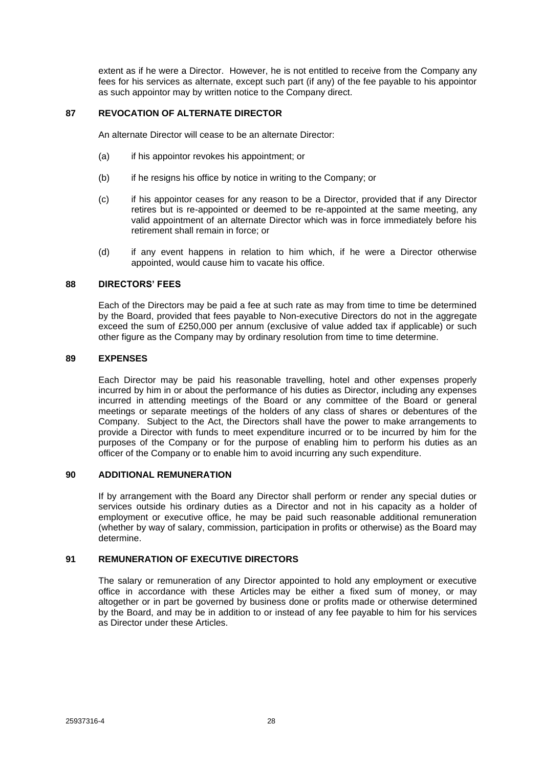extent as if he were a Director. However, he is not entitled to receive from the Company any fees for his services as alternate, except such part (if any) of the fee payable to his appointor as such appointor may by written notice to the Company direct.

## <span id="page-32-0"></span>**87 REVOCATION OF ALTERNATE DIRECTOR**

An alternate Director will cease to be an alternate Director:

- (a) if his appointor revokes his appointment; or
- (b) if he resigns his office by notice in writing to the Company; or
- (c) if his appointor ceases for any reason to be a Director, provided that if any Director retires but is re-appointed or deemed to be re-appointed at the same meeting, any valid appointment of an alternate Director which was in force immediately before his retirement shall remain in force; or
- (d) if any event happens in relation to him which, if he were a Director otherwise appointed, would cause him to vacate his office.

## <span id="page-32-1"></span>**88 DIRECTORS' FEES**

Each of the Directors may be paid a fee at such rate as may from time to time be determined by the Board, provided that fees payable to Non-executive Directors do not in the aggregate exceed the sum of £250,000 per annum (exclusive of value added tax if applicable) or such other figure as the Company may by ordinary resolution from time to time determine.

## <span id="page-32-2"></span>**89 EXPENSES**

Each Director may be paid his reasonable travelling, hotel and other expenses properly incurred by him in or about the performance of his duties as Director, including any expenses incurred in attending meetings of the Board or any committee of the Board or general meetings or separate meetings of the holders of any class of shares or debentures of the Company. Subject to the Act, the Directors shall have the power to make arrangements to provide a Director with funds to meet expenditure incurred or to be incurred by him for the purposes of the Company or for the purpose of enabling him to perform his duties as an officer of the Company or to enable him to avoid incurring any such expenditure.

### <span id="page-32-3"></span>**90 ADDITIONAL REMUNERATION**

If by arrangement with the Board any Director shall perform or render any special duties or services outside his ordinary duties as a Director and not in his capacity as a holder of employment or executive office, he may be paid such reasonable additional remuneration (whether by way of salary, commission, participation in profits or otherwise) as the Board may determine.

## <span id="page-32-4"></span>**91 REMUNERATION OF EXECUTIVE DIRECTORS**

The salary or remuneration of any Director appointed to hold any employment or executive office in accordance with these Articles may be either a fixed sum of money, or may altogether or in part be governed by business done or profits made or otherwise determined by the Board, and may be in addition to or instead of any fee payable to him for his services as Director under these Articles.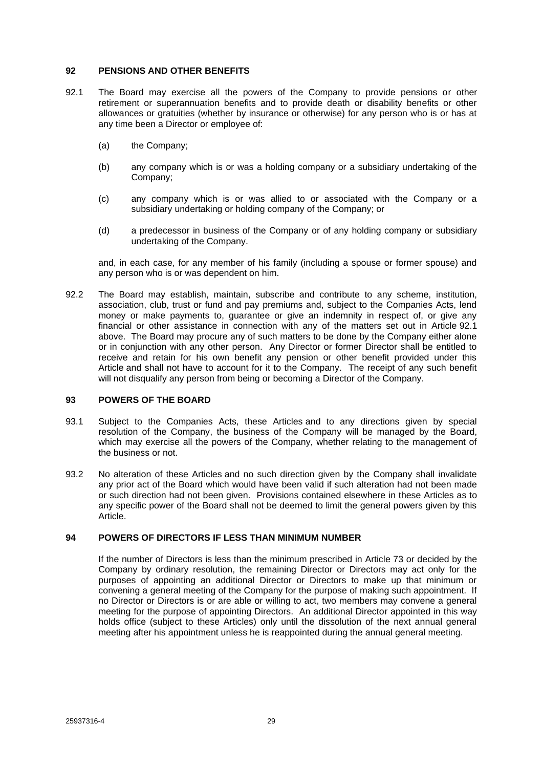### <span id="page-33-0"></span>**92 PENSIONS AND OTHER BENEFITS**

- <span id="page-33-3"></span>92.1 The Board may exercise all the powers of the Company to provide pensions or other retirement or superannuation benefits and to provide death or disability benefits or other allowances or gratuities (whether by insurance or otherwise) for any person who is or has at any time been a Director or employee of:
	- (a) the Company;
	- (b) any company which is or was a holding company or a subsidiary undertaking of the Company;
	- (c) any company which is or was allied to or associated with the Company or a subsidiary undertaking or holding company of the Company; or
	- (d) a predecessor in business of the Company or of any holding company or subsidiary undertaking of the Company.

and, in each case, for any member of his family (including a spouse or former spouse) and any person who is or was dependent on him.

92.2 The Board may establish, maintain, subscribe and contribute to any scheme, institution, association, club, trust or fund and pay premiums and, subject to the Companies Acts, lend money or make payments to, guarantee or give an indemnity in respect of, or give any financial or other assistance in connection with any of the matters set out in Article [92.1](#page-33-3) above. The Board may procure any of such matters to be done by the Company either alone or in conjunction with any other person. Any Director or former Director shall be entitled to receive and retain for his own benefit any pension or other benefit provided under this Article and shall not have to account for it to the Company. The receipt of any such benefit will not disqualify any person from being or becoming a Director of the Company.

### <span id="page-33-1"></span>**93 POWERS OF THE BOARD**

- 93.1 Subject to the Companies Acts, these Articles and to any directions given by special resolution of the Company, the business of the Company will be managed by the Board, which may exercise all the powers of the Company, whether relating to the management of the business or not.
- 93.2 No alteration of these Articles and no such direction given by the Company shall invalidate any prior act of the Board which would have been valid if such alteration had not been made or such direction had not been given. Provisions contained elsewhere in these Articles as to any specific power of the Board shall not be deemed to limit the general powers given by this Article.

### <span id="page-33-2"></span>**94 POWERS OF DIRECTORS IF LESS THAN MINIMUM NUMBER**

If the number of Directors is less than the minimum prescribed in Article [73](#page-29-0) or decided by the Company by ordinary resolution, the remaining Director or Directors may act only for the purposes of appointing an additional Director or Directors to make up that minimum or convening a general meeting of the Company for the purpose of making such appointment. If no Director or Directors is or are able or willing to act, two members may convene a general meeting for the purpose of appointing Directors. An additional Director appointed in this way holds office (subject to these Articles) only until the dissolution of the next annual general meeting after his appointment unless he is reappointed during the annual general meeting.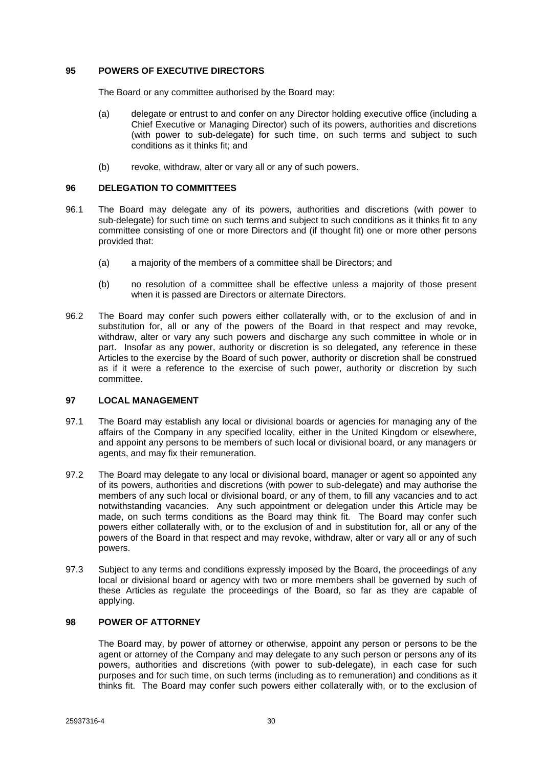### <span id="page-34-0"></span>**95 POWERS OF EXECUTIVE DIRECTORS**

The Board or any committee authorised by the Board may:

- (a) delegate or entrust to and confer on any Director holding executive office (including a Chief Executive or Managing Director) such of its powers, authorities and discretions (with power to sub-delegate) for such time, on such terms and subject to such conditions as it thinks fit; and
- (b) revoke, withdraw, alter or vary all or any of such powers.

### <span id="page-34-1"></span>**96 DELEGATION TO COMMITTEES**

- 96.1 The Board may delegate any of its powers, authorities and discretions (with power to sub-delegate) for such time on such terms and subject to such conditions as it thinks fit to any committee consisting of one or more Directors and (if thought fit) one or more other persons provided that:
	- (a) a majority of the members of a committee shall be Directors; and
	- (b) no resolution of a committee shall be effective unless a majority of those present when it is passed are Directors or alternate Directors.
- 96.2 The Board may confer such powers either collaterally with, or to the exclusion of and in substitution for, all or any of the powers of the Board in that respect and may revoke, withdraw, alter or vary any such powers and discharge any such committee in whole or in part. Insofar as any power, authority or discretion is so delegated, any reference in these Articles to the exercise by the Board of such power, authority or discretion shall be construed as if it were a reference to the exercise of such power, authority or discretion by such committee.

### <span id="page-34-2"></span>**97 LOCAL MANAGEMENT**

- 97.1 The Board may establish any local or divisional boards or agencies for managing any of the affairs of the Company in any specified locality, either in the United Kingdom or elsewhere, and appoint any persons to be members of such local or divisional board, or any managers or agents, and may fix their remuneration.
- 97.2 The Board may delegate to any local or divisional board, manager or agent so appointed any of its powers, authorities and discretions (with power to sub-delegate) and may authorise the members of any such local or divisional board, or any of them, to fill any vacancies and to act notwithstanding vacancies. Any such appointment or delegation under this Article may be made, on such terms conditions as the Board may think fit. The Board may confer such powers either collaterally with, or to the exclusion of and in substitution for, all or any of the powers of the Board in that respect and may revoke, withdraw, alter or vary all or any of such powers.
- 97.3 Subject to any terms and conditions expressly imposed by the Board, the proceedings of any local or divisional board or agency with two or more members shall be governed by such of these Articles as regulate the proceedings of the Board, so far as they are capable of applying.

### <span id="page-34-3"></span>**98 POWER OF ATTORNEY**

The Board may, by power of attorney or otherwise, appoint any person or persons to be the agent or attorney of the Company and may delegate to any such person or persons any of its powers, authorities and discretions (with power to sub-delegate), in each case for such purposes and for such time, on such terms (including as to remuneration) and conditions as it thinks fit. The Board may confer such powers either collaterally with, or to the exclusion of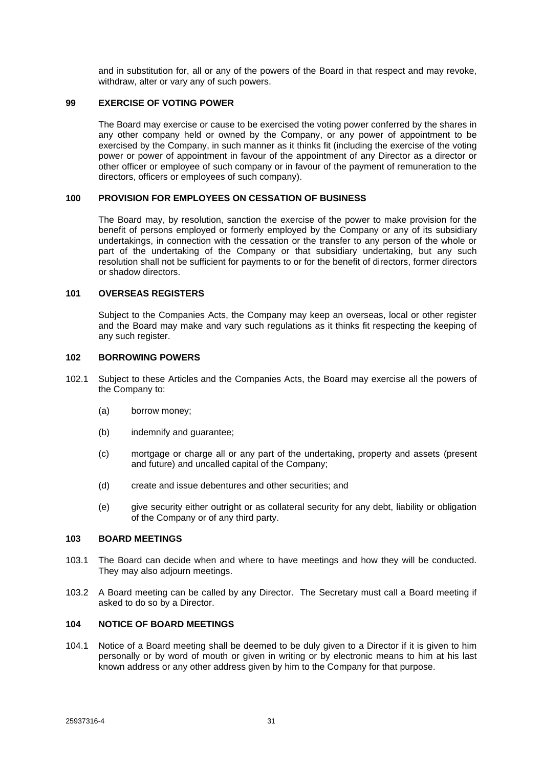and in substitution for, all or any of the powers of the Board in that respect and may revoke, withdraw, alter or vary any of such powers.

#### <span id="page-35-0"></span>**99 EXERCISE OF VOTING POWER**

The Board may exercise or cause to be exercised the voting power conferred by the shares in any other company held or owned by the Company, or any power of appointment to be exercised by the Company, in such manner as it thinks fit (including the exercise of the voting power or power of appointment in favour of the appointment of any Director as a director or other officer or employee of such company or in favour of the payment of remuneration to the directors, officers or employees of such company).

### <span id="page-35-1"></span>**100 PROVISION FOR EMPLOYEES ON CESSATION OF BUSINESS**

The Board may, by resolution, sanction the exercise of the power to make provision for the benefit of persons employed or formerly employed by the Company or any of its subsidiary undertakings, in connection with the cessation or the transfer to any person of the whole or part of the undertaking of the Company or that subsidiary undertaking, but any such resolution shall not be sufficient for payments to or for the benefit of directors, former directors or shadow directors.

## <span id="page-35-2"></span>**101 OVERSEAS REGISTERS**

Subject to the Companies Acts, the Company may keep an overseas, local or other register and the Board may make and vary such regulations as it thinks fit respecting the keeping of any such register.

### <span id="page-35-3"></span>**102 BORROWING POWERS**

- 102.1 Subject to these Articles and the Companies Acts, the Board may exercise all the powers of the Company to:
	- (a) borrow money;
	- (b) indemnify and guarantee;
	- (c) mortgage or charge all or any part of the undertaking, property and assets (present and future) and uncalled capital of the Company;
	- (d) create and issue debentures and other securities; and
	- (e) give security either outright or as collateral security for any debt, liability or obligation of the Company or of any third party.

### <span id="page-35-4"></span>**103 BOARD MEETINGS**

- 103.1 The Board can decide when and where to have meetings and how they will be conducted. They may also adjourn meetings.
- 103.2 A Board meeting can be called by any Director. The Secretary must call a Board meeting if asked to do so by a Director.

### <span id="page-35-5"></span>**104 NOTICE OF BOARD MEETINGS**

104.1 Notice of a Board meeting shall be deemed to be duly given to a Director if it is given to him personally or by word of mouth or given in writing or by electronic means to him at his last known address or any other address given by him to the Company for that purpose.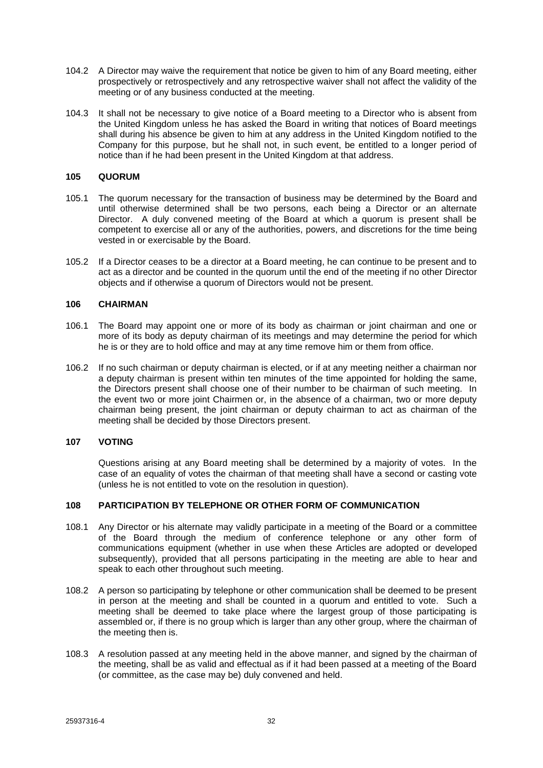- 104.2 A Director may waive the requirement that notice be given to him of any Board meeting, either prospectively or retrospectively and any retrospective waiver shall not affect the validity of the meeting or of any business conducted at the meeting.
- 104.3 It shall not be necessary to give notice of a Board meeting to a Director who is absent from the United Kingdom unless he has asked the Board in writing that notices of Board meetings shall during his absence be given to him at any address in the United Kingdom notified to the Company for this purpose, but he shall not, in such event, be entitled to a longer period of notice than if he had been present in the United Kingdom at that address.

## <span id="page-36-0"></span>**105 QUORUM**

- 105.1 The quorum necessary for the transaction of business may be determined by the Board and until otherwise determined shall be two persons, each being a Director or an alternate Director. A duly convened meeting of the Board at which a quorum is present shall be competent to exercise all or any of the authorities, powers, and discretions for the time being vested in or exercisable by the Board.
- 105.2 If a Director ceases to be a director at a Board meeting, he can continue to be present and to act as a director and be counted in the quorum until the end of the meeting if no other Director objects and if otherwise a quorum of Directors would not be present.

## <span id="page-36-1"></span>**106 CHAIRMAN**

- 106.1 The Board may appoint one or more of its body as chairman or joint chairman and one or more of its body as deputy chairman of its meetings and may determine the period for which he is or they are to hold office and may at any time remove him or them from office.
- 106.2 If no such chairman or deputy chairman is elected, or if at any meeting neither a chairman nor a deputy chairman is present within ten minutes of the time appointed for holding the same, the Directors present shall choose one of their number to be chairman of such meeting. In the event two or more joint Chairmen or, in the absence of a chairman, two or more deputy chairman being present, the joint chairman or deputy chairman to act as chairman of the meeting shall be decided by those Directors present.

### <span id="page-36-2"></span>**107 VOTING**

Questions arising at any Board meeting shall be determined by a majority of votes. In the case of an equality of votes the chairman of that meeting shall have a second or casting vote (unless he is not entitled to vote on the resolution in question).

## <span id="page-36-3"></span>**108 PARTICIPATION BY TELEPHONE OR OTHER FORM OF COMMUNICATION**

- 108.1 Any Director or his alternate may validly participate in a meeting of the Board or a committee of the Board through the medium of conference telephone or any other form of communications equipment (whether in use when these Articles are adopted or developed subsequently), provided that all persons participating in the meeting are able to hear and speak to each other throughout such meeting.
- 108.2 A person so participating by telephone or other communication shall be deemed to be present in person at the meeting and shall be counted in a quorum and entitled to vote. Such a meeting shall be deemed to take place where the largest group of those participating is assembled or, if there is no group which is larger than any other group, where the chairman of the meeting then is.
- 108.3 A resolution passed at any meeting held in the above manner, and signed by the chairman of the meeting, shall be as valid and effectual as if it had been passed at a meeting of the Board (or committee, as the case may be) duly convened and held.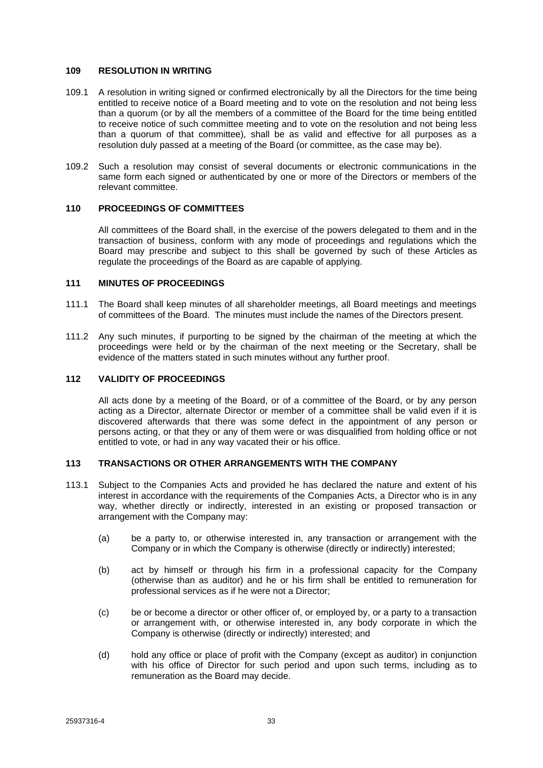#### <span id="page-37-0"></span>**109 RESOLUTION IN WRITING**

- 109.1 A resolution in writing signed or confirmed electronically by all the Directors for the time being entitled to receive notice of a Board meeting and to vote on the resolution and not being less than a quorum (or by all the members of a committee of the Board for the time being entitled to receive notice of such committee meeting and to vote on the resolution and not being less than a quorum of that committee), shall be as valid and effective for all purposes as a resolution duly passed at a meeting of the Board (or committee, as the case may be).
- 109.2 Such a resolution may consist of several documents or electronic communications in the same form each signed or authenticated by one or more of the Directors or members of the relevant committee.

## <span id="page-37-1"></span>**110 PROCEEDINGS OF COMMITTEES**

All committees of the Board shall, in the exercise of the powers delegated to them and in the transaction of business, conform with any mode of proceedings and regulations which the Board may prescribe and subject to this shall be governed by such of these Articles as regulate the proceedings of the Board as are capable of applying.

### <span id="page-37-2"></span>**111 MINUTES OF PROCEEDINGS**

- 111.1 The Board shall keep minutes of all shareholder meetings, all Board meetings and meetings of committees of the Board. The minutes must include the names of the Directors present.
- 111.2 Any such minutes, if purporting to be signed by the chairman of the meeting at which the proceedings were held or by the chairman of the next meeting or the Secretary, shall be evidence of the matters stated in such minutes without any further proof.

#### <span id="page-37-3"></span>**112 VALIDITY OF PROCEEDINGS**

All acts done by a meeting of the Board, or of a committee of the Board, or by any person acting as a Director, alternate Director or member of a committee shall be valid even if it is discovered afterwards that there was some defect in the appointment of any person or persons acting, or that they or any of them were or was disqualified from holding office or not entitled to vote, or had in any way vacated their or his office.

## <span id="page-37-4"></span>**113 TRANSACTIONS OR OTHER ARRANGEMENTS WITH THE COMPANY**

- 113.1 Subject to the Companies Acts and provided he has declared the nature and extent of his interest in accordance with the requirements of the Companies Acts, a Director who is in any way, whether directly or indirectly, interested in an existing or proposed transaction or arrangement with the Company may:
	- (a) be a party to, or otherwise interested in, any transaction or arrangement with the Company or in which the Company is otherwise (directly or indirectly) interested;
	- (b) act by himself or through his firm in a professional capacity for the Company (otherwise than as auditor) and he or his firm shall be entitled to remuneration for professional services as if he were not a Director;
	- (c) be or become a director or other officer of, or employed by, or a party to a transaction or arrangement with, or otherwise interested in, any body corporate in which the Company is otherwise (directly or indirectly) interested; and
	- (d) hold any office or place of profit with the Company (except as auditor) in conjunction with his office of Director for such period and upon such terms, including as to remuneration as the Board may decide.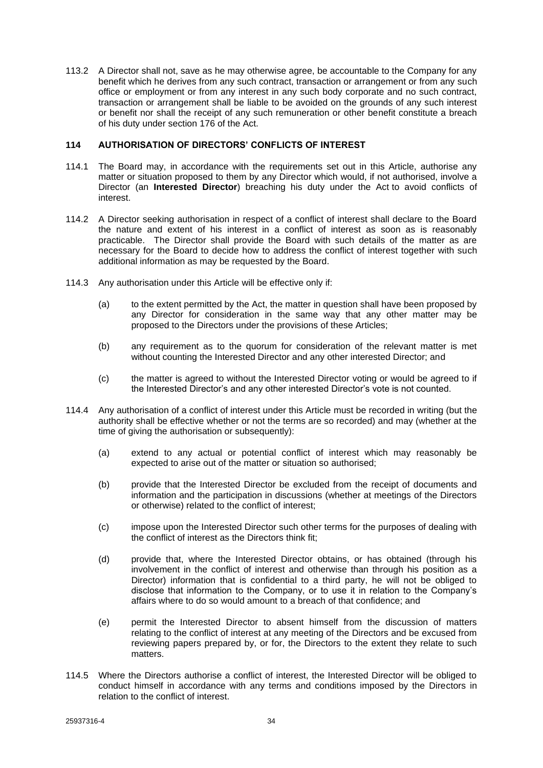113.2 A Director shall not, save as he may otherwise agree, be accountable to the Company for any benefit which he derives from any such contract, transaction or arrangement or from any such office or employment or from any interest in any such body corporate and no such contract, transaction or arrangement shall be liable to be avoided on the grounds of any such interest or benefit nor shall the receipt of any such remuneration or other benefit constitute a breach of his duty under section 176 of the Act.

## <span id="page-38-0"></span>**114 AUTHORISATION OF DIRECTORS' CONFLICTS OF INTEREST**

- 114.1 The Board may, in accordance with the requirements set out in this Article, authorise any matter or situation proposed to them by any Director which would, if not authorised, involve a Director (an **Interested Director**) breaching his duty under the Act to avoid conflicts of interest.
- 114.2 A Director seeking authorisation in respect of a conflict of interest shall declare to the Board the nature and extent of his interest in a conflict of interest as soon as is reasonably practicable. The Director shall provide the Board with such details of the matter as are necessary for the Board to decide how to address the conflict of interest together with such additional information as may be requested by the Board.
- 114.3 Any authorisation under this Article will be effective only if:
	- (a) to the extent permitted by the Act, the matter in question shall have been proposed by any Director for consideration in the same way that any other matter may be proposed to the Directors under the provisions of these Articles;
	- (b) any requirement as to the quorum for consideration of the relevant matter is met without counting the Interested Director and any other interested Director; and
	- (c) the matter is agreed to without the Interested Director voting or would be agreed to if the Interested Director's and any other interested Director's vote is not counted.
- 114.4 Any authorisation of a conflict of interest under this Article must be recorded in writing (but the authority shall be effective whether or not the terms are so recorded) and may (whether at the time of giving the authorisation or subsequently):
	- (a) extend to any actual or potential conflict of interest which may reasonably be expected to arise out of the matter or situation so authorised;
	- (b) provide that the Interested Director be excluded from the receipt of documents and information and the participation in discussions (whether at meetings of the Directors or otherwise) related to the conflict of interest;
	- (c) impose upon the Interested Director such other terms for the purposes of dealing with the conflict of interest as the Directors think fit;
	- (d) provide that, where the Interested Director obtains, or has obtained (through his involvement in the conflict of interest and otherwise than through his position as a Director) information that is confidential to a third party, he will not be obliged to disclose that information to the Company, or to use it in relation to the Company's affairs where to do so would amount to a breach of that confidence; and
	- (e) permit the Interested Director to absent himself from the discussion of matters relating to the conflict of interest at any meeting of the Directors and be excused from reviewing papers prepared by, or for, the Directors to the extent they relate to such matters.
- 114.5 Where the Directors authorise a conflict of interest, the Interested Director will be obliged to conduct himself in accordance with any terms and conditions imposed by the Directors in relation to the conflict of interest.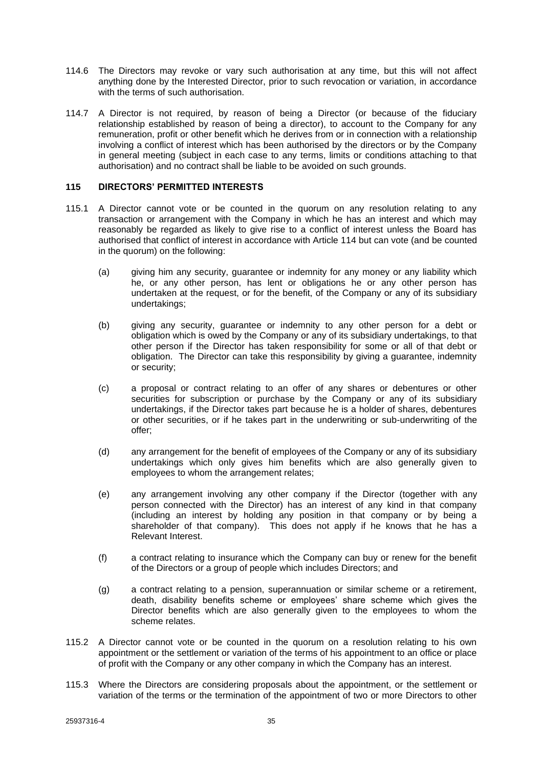- 114.6 The Directors may revoke or vary such authorisation at any time, but this will not affect anything done by the Interested Director, prior to such revocation or variation, in accordance with the terms of such authorisation.
- 114.7 A Director is not required, by reason of being a Director (or because of the fiduciary relationship established by reason of being a director), to account to the Company for any remuneration, profit or other benefit which he derives from or in connection with a relationship involving a conflict of interest which has been authorised by the directors or by the Company in general meeting (subject in each case to any terms, limits or conditions attaching to that authorisation) and no contract shall be liable to be avoided on such grounds.

### <span id="page-39-0"></span>**115 DIRECTORS' PERMITTED INTERESTS**

- 115.1 A Director cannot vote or be counted in the quorum on any resolution relating to any transaction or arrangement with the Company in which he has an interest and which may reasonably be regarded as likely to give rise to a conflict of interest unless the Board has authorised that conflict of interest in accordance with Article [114](#page-38-0) but can vote (and be counted in the quorum) on the following:
	- (a) giving him any security, guarantee or indemnity for any money or any liability which he, or any other person, has lent or obligations he or any other person has undertaken at the request, or for the benefit, of the Company or any of its subsidiary undertakings;
	- (b) giving any security, guarantee or indemnity to any other person for a debt or obligation which is owed by the Company or any of its subsidiary undertakings, to that other person if the Director has taken responsibility for some or all of that debt or obligation. The Director can take this responsibility by giving a guarantee, indemnity or security;
	- (c) a proposal or contract relating to an offer of any shares or debentures or other securities for subscription or purchase by the Company or any of its subsidiary undertakings, if the Director takes part because he is a holder of shares, debentures or other securities, or if he takes part in the underwriting or sub-underwriting of the offer;
	- (d) any arrangement for the benefit of employees of the Company or any of its subsidiary undertakings which only gives him benefits which are also generally given to employees to whom the arrangement relates;
	- (e) any arrangement involving any other company if the Director (together with any person connected with the Director) has an interest of any kind in that company (including an interest by holding any position in that company or by being a shareholder of that company). This does not apply if he knows that he has a Relevant Interest.
	- (f) a contract relating to insurance which the Company can buy or renew for the benefit of the Directors or a group of people which includes Directors; and
	- (g) a contract relating to a pension, superannuation or similar scheme or a retirement, death, disability benefits scheme or employees' share scheme which gives the Director benefits which are also generally given to the employees to whom the scheme relates.
- 115.2 A Director cannot vote or be counted in the quorum on a resolution relating to his own appointment or the settlement or variation of the terms of his appointment to an office or place of profit with the Company or any other company in which the Company has an interest.
- 115.3 Where the Directors are considering proposals about the appointment, or the settlement or variation of the terms or the termination of the appointment of two or more Directors to other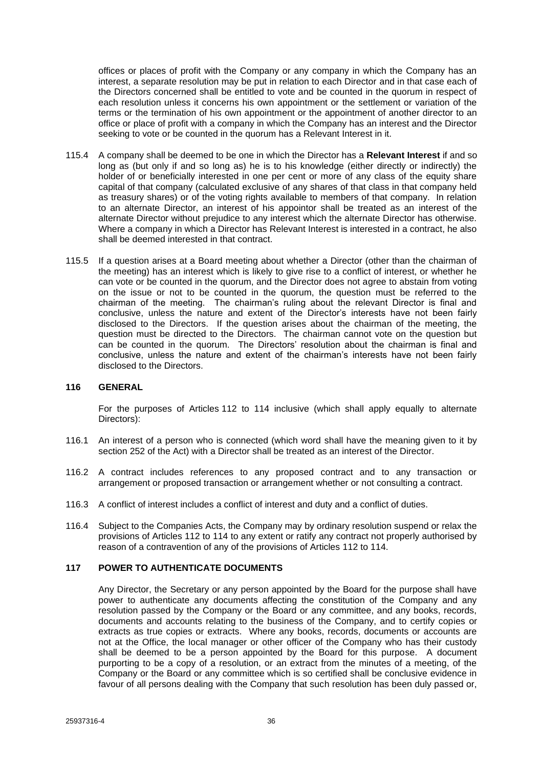offices or places of profit with the Company or any company in which the Company has an interest, a separate resolution may be put in relation to each Director and in that case each of the Directors concerned shall be entitled to vote and be counted in the quorum in respect of each resolution unless it concerns his own appointment or the settlement or variation of the terms or the termination of his own appointment or the appointment of another director to an office or place of profit with a company in which the Company has an interest and the Director seeking to vote or be counted in the quorum has a Relevant Interest in it.

- 115.4 A company shall be deemed to be one in which the Director has a **Relevant Interest** if and so long as (but only if and so long as) he is to his knowledge (either directly or indirectly) the holder of or beneficially interested in one per cent or more of any class of the equity share capital of that company (calculated exclusive of any shares of that class in that company held as treasury shares) or of the voting rights available to members of that company. In relation to an alternate Director, an interest of his appointor shall be treated as an interest of the alternate Director without prejudice to any interest which the alternate Director has otherwise. Where a company in which a Director has Relevant Interest is interested in a contract, he also shall be deemed interested in that contract.
- 115.5 If a question arises at a Board meeting about whether a Director (other than the chairman of the meeting) has an interest which is likely to give rise to a conflict of interest, or whether he can vote or be counted in the quorum, and the Director does not agree to abstain from voting on the issue or not to be counted in the quorum, the question must be referred to the chairman of the meeting. The chairman's ruling about the relevant Director is final and conclusive, unless the nature and extent of the Director's interests have not been fairly disclosed to the Directors. If the question arises about the chairman of the meeting, the question must be directed to the Directors. The chairman cannot vote on the question but can be counted in the quorum. The Directors' resolution about the chairman is final and conclusive, unless the nature and extent of the chairman's interests have not been fairly disclosed to the Directors.

## <span id="page-40-0"></span>**116 GENERAL**

For the purposes of Articles [112](#page-37-3) to [114](#page-38-0) inclusive (which shall apply equally to alternate Directors):

- 116.1 An interest of a person who is connected (which word shall have the meaning given to it by section 252 of the Act) with a Director shall be treated as an interest of the Director.
- 116.2 A contract includes references to any proposed contract and to any transaction or arrangement or proposed transaction or arrangement whether or not consulting a contract.
- 116.3 A conflict of interest includes a conflict of interest and duty and a conflict of duties.
- 116.4 Subject to the Companies Acts, the Company may by ordinary resolution suspend or relax the provisions of Articles [112](#page-37-3) to [114](#page-38-0) to any extent or ratify any contract not properly authorised by reason of a contravention of any of the provisions of Articles [112](#page-37-3) to [114.](#page-38-0)

## <span id="page-40-1"></span>**117 POWER TO AUTHENTICATE DOCUMENTS**

Any Director, the Secretary or any person appointed by the Board for the purpose shall have power to authenticate any documents affecting the constitution of the Company and any resolution passed by the Company or the Board or any committee, and any books, records, documents and accounts relating to the business of the Company, and to certify copies or extracts as true copies or extracts. Where any books, records, documents or accounts are not at the Office, the local manager or other officer of the Company who has their custody shall be deemed to be a person appointed by the Board for this purpose. A document purporting to be a copy of a resolution, or an extract from the minutes of a meeting, of the Company or the Board or any committee which is so certified shall be conclusive evidence in favour of all persons dealing with the Company that such resolution has been duly passed or,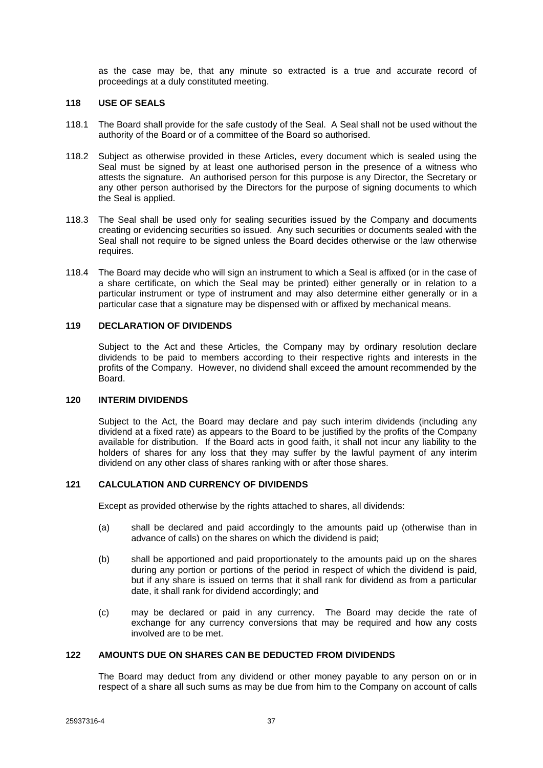as the case may be, that any minute so extracted is a true and accurate record of proceedings at a duly constituted meeting.

#### <span id="page-41-0"></span>**118 USE OF SEALS**

- 118.1 The Board shall provide for the safe custody of the Seal. A Seal shall not be used without the authority of the Board or of a committee of the Board so authorised.
- 118.2 Subject as otherwise provided in these Articles, every document which is sealed using the Seal must be signed by at least one authorised person in the presence of a witness who attests the signature. An authorised person for this purpose is any Director, the Secretary or any other person authorised by the Directors for the purpose of signing documents to which the Seal is applied.
- 118.3 The Seal shall be used only for sealing securities issued by the Company and documents creating or evidencing securities so issued. Any such securities or documents sealed with the Seal shall not require to be signed unless the Board decides otherwise or the law otherwise requires.
- 118.4 The Board may decide who will sign an instrument to which a Seal is affixed (or in the case of a share certificate, on which the Seal may be printed) either generally or in relation to a particular instrument or type of instrument and may also determine either generally or in a particular case that a signature may be dispensed with or affixed by mechanical means.

### <span id="page-41-1"></span>**119 DECLARATION OF DIVIDENDS**

Subject to the Act and these Articles, the Company may by ordinary resolution declare dividends to be paid to members according to their respective rights and interests in the profits of the Company. However, no dividend shall exceed the amount recommended by the Board.

### <span id="page-41-2"></span>**120 INTERIM DIVIDENDS**

Subject to the Act, the Board may declare and pay such interim dividends (including any dividend at a fixed rate) as appears to the Board to be justified by the profits of the Company available for distribution. If the Board acts in good faith, it shall not incur any liability to the holders of shares for any loss that they may suffer by the lawful payment of any interim dividend on any other class of shares ranking with or after those shares.

## <span id="page-41-3"></span>**121 CALCULATION AND CURRENCY OF DIVIDENDS**

Except as provided otherwise by the rights attached to shares, all dividends:

- (a) shall be declared and paid accordingly to the amounts paid up (otherwise than in advance of calls) on the shares on which the dividend is paid;
- (b) shall be apportioned and paid proportionately to the amounts paid up on the shares during any portion or portions of the period in respect of which the dividend is paid, but if any share is issued on terms that it shall rank for dividend as from a particular date, it shall rank for dividend accordingly; and
- (c) may be declared or paid in any currency. The Board may decide the rate of exchange for any currency conversions that may be required and how any costs involved are to be met.

## <span id="page-41-4"></span>**122 AMOUNTS DUE ON SHARES CAN BE DEDUCTED FROM DIVIDENDS**

The Board may deduct from any dividend or other money payable to any person on or in respect of a share all such sums as may be due from him to the Company on account of calls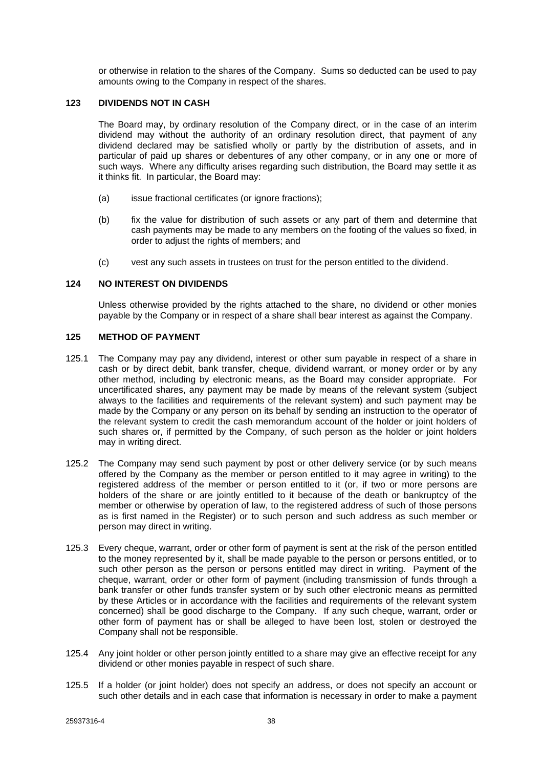or otherwise in relation to the shares of the Company. Sums so deducted can be used to pay amounts owing to the Company in respect of the shares.

### <span id="page-42-0"></span>**123 DIVIDENDS NOT IN CASH**

The Board may, by ordinary resolution of the Company direct, or in the case of an interim dividend may without the authority of an ordinary resolution direct, that payment of any dividend declared may be satisfied wholly or partly by the distribution of assets, and in particular of paid up shares or debentures of any other company, or in any one or more of such ways. Where any difficulty arises regarding such distribution, the Board may settle it as it thinks fit. In particular, the Board may:

- (a) issue fractional certificates (or ignore fractions);
- (b) fix the value for distribution of such assets or any part of them and determine that cash payments may be made to any members on the footing of the values so fixed, in order to adjust the rights of members; and
- (c) vest any such assets in trustees on trust for the person entitled to the dividend.

### <span id="page-42-1"></span>**124 NO INTEREST ON DIVIDENDS**

Unless otherwise provided by the rights attached to the share, no dividend or other monies payable by the Company or in respect of a share shall bear interest as against the Company.

## <span id="page-42-2"></span>**125 METHOD OF PAYMENT**

- 125.1 The Company may pay any dividend, interest or other sum payable in respect of a share in cash or by direct debit, bank transfer, cheque, dividend warrant, or money order or by any other method, including by electronic means, as the Board may consider appropriate. For uncertificated shares, any payment may be made by means of the relevant system (subject always to the facilities and requirements of the relevant system) and such payment may be made by the Company or any person on its behalf by sending an instruction to the operator of the relevant system to credit the cash memorandum account of the holder or joint holders of such shares or, if permitted by the Company, of such person as the holder or joint holders may in writing direct.
- 125.2 The Company may send such payment by post or other delivery service (or by such means offered by the Company as the member or person entitled to it may agree in writing) to the registered address of the member or person entitled to it (or, if two or more persons are holders of the share or are jointly entitled to it because of the death or bankruptcy of the member or otherwise by operation of law, to the registered address of such of those persons as is first named in the Register) or to such person and such address as such member or person may direct in writing.
- 125.3 Every cheque, warrant, order or other form of payment is sent at the risk of the person entitled to the money represented by it, shall be made payable to the person or persons entitled, or to such other person as the person or persons entitled may direct in writing. Payment of the cheque, warrant, order or other form of payment (including transmission of funds through a bank transfer or other funds transfer system or by such other electronic means as permitted by these Articles or in accordance with the facilities and requirements of the relevant system concerned) shall be good discharge to the Company. If any such cheque, warrant, order or other form of payment has or shall be alleged to have been lost, stolen or destroyed the Company shall not be responsible.
- 125.4 Any joint holder or other person jointly entitled to a share may give an effective receipt for any dividend or other monies payable in respect of such share.
- 125.5 If a holder (or joint holder) does not specify an address, or does not specify an account or such other details and in each case that information is necessary in order to make a payment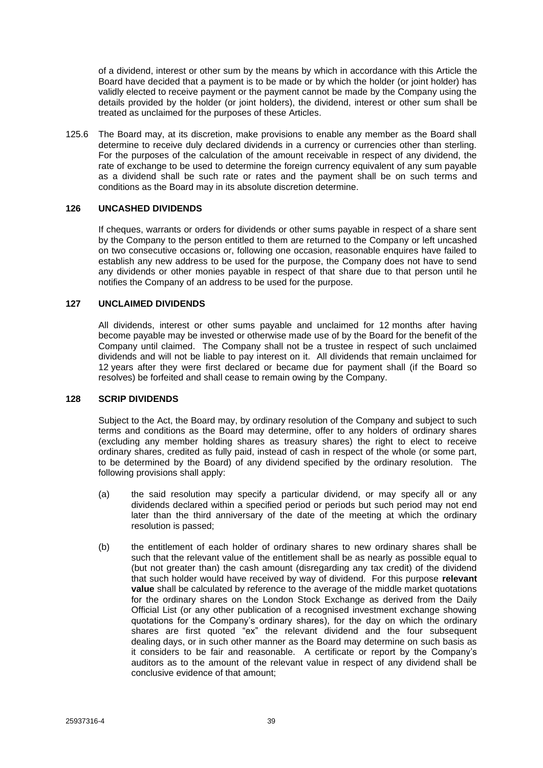of a dividend, interest or other sum by the means by which in accordance with this Article the Board have decided that a payment is to be made or by which the holder (or joint holder) has validly elected to receive payment or the payment cannot be made by the Company using the details provided by the holder (or joint holders), the dividend, interest or other sum shall be treated as unclaimed for the purposes of these Articles.

125.6 The Board may, at its discretion, make provisions to enable any member as the Board shall determine to receive duly declared dividends in a currency or currencies other than sterling. For the purposes of the calculation of the amount receivable in respect of any dividend, the rate of exchange to be used to determine the foreign currency equivalent of any sum payable as a dividend shall be such rate or rates and the payment shall be on such terms and conditions as the Board may in its absolute discretion determine.

### <span id="page-43-0"></span>**126 UNCASHED DIVIDENDS**

If cheques, warrants or orders for dividends or other sums payable in respect of a share sent by the Company to the person entitled to them are returned to the Company or left uncashed on two consecutive occasions or, following one occasion, reasonable enquires have failed to establish any new address to be used for the purpose, the Company does not have to send any dividends or other monies payable in respect of that share due to that person until he notifies the Company of an address to be used for the purpose.

## <span id="page-43-1"></span>**127 UNCLAIMED DIVIDENDS**

All dividends, interest or other sums payable and unclaimed for 12 months after having become payable may be invested or otherwise made use of by the Board for the benefit of the Company until claimed. The Company shall not be a trustee in respect of such unclaimed dividends and will not be liable to pay interest on it. All dividends that remain unclaimed for 12 years after they were first declared or became due for payment shall (if the Board so resolves) be forfeited and shall cease to remain owing by the Company.

#### <span id="page-43-2"></span>**128 SCRIP DIVIDENDS**

Subject to the Act, the Board may, by ordinary resolution of the Company and subject to such terms and conditions as the Board may determine, offer to any holders of ordinary shares (excluding any member holding shares as treasury shares) the right to elect to receive ordinary shares, credited as fully paid, instead of cash in respect of the whole (or some part, to be determined by the Board) of any dividend specified by the ordinary resolution. The following provisions shall apply:

- (a) the said resolution may specify a particular dividend, or may specify all or any dividends declared within a specified period or periods but such period may not end later than the third anniversary of the date of the meeting at which the ordinary resolution is passed;
- (b) the entitlement of each holder of ordinary shares to new ordinary shares shall be such that the relevant value of the entitlement shall be as nearly as possible equal to (but not greater than) the cash amount (disregarding any tax credit) of the dividend that such holder would have received by way of dividend. For this purpose **relevant value** shall be calculated by reference to the average of the middle market quotations for the ordinary shares on the London Stock Exchange as derived from the Daily Official List (or any other publication of a recognised investment exchange showing quotations for the Company's ordinary shares), for the day on which the ordinary shares are first quoted "ex" the relevant dividend and the four subsequent dealing days, or in such other manner as the Board may determine on such basis as it considers to be fair and reasonable. A certificate or report by the Company's auditors as to the amount of the relevant value in respect of any dividend shall be conclusive evidence of that amount;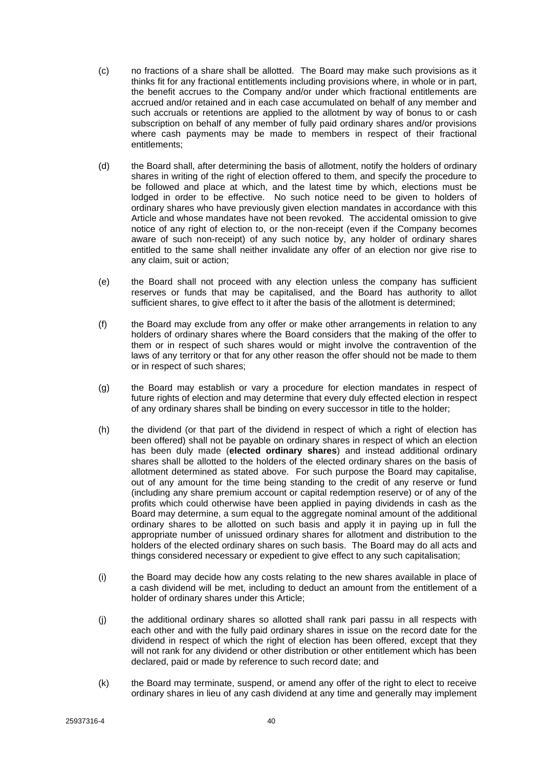- (c) no fractions of a share shall be allotted. The Board may make such provisions as it thinks fit for any fractional entitlements including provisions where, in whole or in part, the benefit accrues to the Company and/or under which fractional entitlements are accrued and/or retained and in each case accumulated on behalf of any member and such accruals or retentions are applied to the allotment by way of bonus to or cash subscription on behalf of any member of fully paid ordinary shares and/or provisions where cash payments may be made to members in respect of their fractional entitlements;
- (d) the Board shall, after determining the basis of allotment, notify the holders of ordinary shares in writing of the right of election offered to them, and specify the procedure to be followed and place at which, and the latest time by which, elections must be lodged in order to be effective. No such notice need to be given to holders of ordinary shares who have previously given election mandates in accordance with this Article and whose mandates have not been revoked. The accidental omission to give notice of any right of election to, or the non-receipt (even if the Company becomes aware of such non-receipt) of any such notice by, any holder of ordinary shares entitled to the same shall neither invalidate any offer of an election nor give rise to any claim, suit or action;
- (e) the Board shall not proceed with any election unless the company has sufficient reserves or funds that may be capitalised, and the Board has authority to allot sufficient shares, to give effect to it after the basis of the allotment is determined;
- (f) the Board may exclude from any offer or make other arrangements in relation to any holders of ordinary shares where the Board considers that the making of the offer to them or in respect of such shares would or might involve the contravention of the laws of any territory or that for any other reason the offer should not be made to them or in respect of such shares;
- (g) the Board may establish or vary a procedure for election mandates in respect of future rights of election and may determine that every duly effected election in respect of any ordinary shares shall be binding on every successor in title to the holder;
- (h) the dividend (or that part of the dividend in respect of which a right of election has been offered) shall not be payable on ordinary shares in respect of which an election has been duly made (**elected ordinary shares**) and instead additional ordinary shares shall be allotted to the holders of the elected ordinary shares on the basis of allotment determined as stated above. For such purpose the Board may capitalise, out of any amount for the time being standing to the credit of any reserve or fund (including any share premium account or capital redemption reserve) or of any of the profits which could otherwise have been applied in paying dividends in cash as the Board may determine, a sum equal to the aggregate nominal amount of the additional ordinary shares to be allotted on such basis and apply it in paying up in full the appropriate number of unissued ordinary shares for allotment and distribution to the holders of the elected ordinary shares on such basis. The Board may do all acts and things considered necessary or expedient to give effect to any such capitalisation;
- (i) the Board may decide how any costs relating to the new shares available in place of a cash dividend will be met, including to deduct an amount from the entitlement of a holder of ordinary shares under this Article;
- (j) the additional ordinary shares so allotted shall rank pari passu in all respects with each other and with the fully paid ordinary shares in issue on the record date for the dividend in respect of which the right of election has been offered, except that they will not rank for any dividend or other distribution or other entitlement which has been declared, paid or made by reference to such record date; and
- (k) the Board may terminate, suspend, or amend any offer of the right to elect to receive ordinary shares in lieu of any cash dividend at any time and generally may implement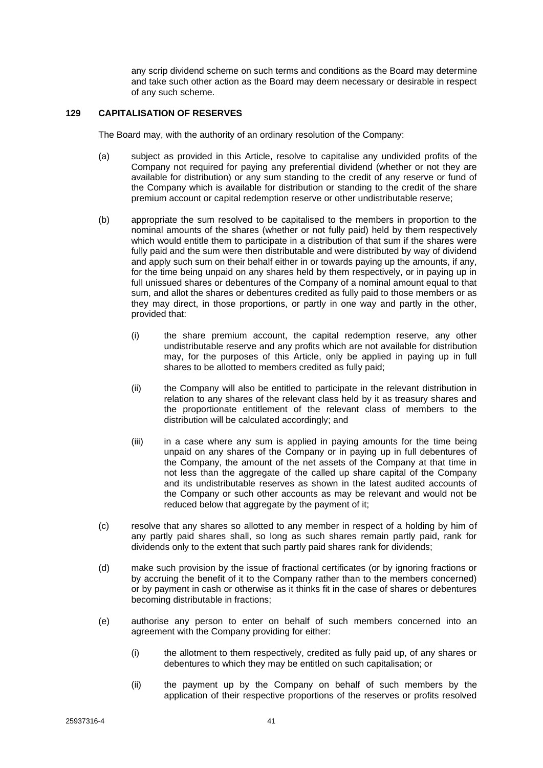any scrip dividend scheme on such terms and conditions as the Board may determine and take such other action as the Board may deem necessary or desirable in respect of any such scheme.

### <span id="page-45-0"></span>**129 CAPITALISATION OF RESERVES**

The Board may, with the authority of an ordinary resolution of the Company:

- (a) subject as provided in this Article, resolve to capitalise any undivided profits of the Company not required for paying any preferential dividend (whether or not they are available for distribution) or any sum standing to the credit of any reserve or fund of the Company which is available for distribution or standing to the credit of the share premium account or capital redemption reserve or other undistributable reserve;
- (b) appropriate the sum resolved to be capitalised to the members in proportion to the nominal amounts of the shares (whether or not fully paid) held by them respectively which would entitle them to participate in a distribution of that sum if the shares were fully paid and the sum were then distributable and were distributed by way of dividend and apply such sum on their behalf either in or towards paying up the amounts, if any, for the time being unpaid on any shares held by them respectively, or in paying up in full unissued shares or debentures of the Company of a nominal amount equal to that sum, and allot the shares or debentures credited as fully paid to those members or as they may direct, in those proportions, or partly in one way and partly in the other, provided that:
	- (i) the share premium account, the capital redemption reserve, any other undistributable reserve and any profits which are not available for distribution may, for the purposes of this Article, only be applied in paying up in full shares to be allotted to members credited as fully paid;
	- (ii) the Company will also be entitled to participate in the relevant distribution in relation to any shares of the relevant class held by it as treasury shares and the proportionate entitlement of the relevant class of members to the distribution will be calculated accordingly; and
	- (iii) in a case where any sum is applied in paying amounts for the time being unpaid on any shares of the Company or in paying up in full debentures of the Company, the amount of the net assets of the Company at that time in not less than the aggregate of the called up share capital of the Company and its undistributable reserves as shown in the latest audited accounts of the Company or such other accounts as may be relevant and would not be reduced below that aggregate by the payment of it;
- (c) resolve that any shares so allotted to any member in respect of a holding by him of any partly paid shares shall, so long as such shares remain partly paid, rank for dividends only to the extent that such partly paid shares rank for dividends;
- (d) make such provision by the issue of fractional certificates (or by ignoring fractions or by accruing the benefit of it to the Company rather than to the members concerned) or by payment in cash or otherwise as it thinks fit in the case of shares or debentures becoming distributable in fractions;
- (e) authorise any person to enter on behalf of such members concerned into an agreement with the Company providing for either:
	- (i) the allotment to them respectively, credited as fully paid up, of any shares or debentures to which they may be entitled on such capitalisation; or
	- (ii) the payment up by the Company on behalf of such members by the application of their respective proportions of the reserves or profits resolved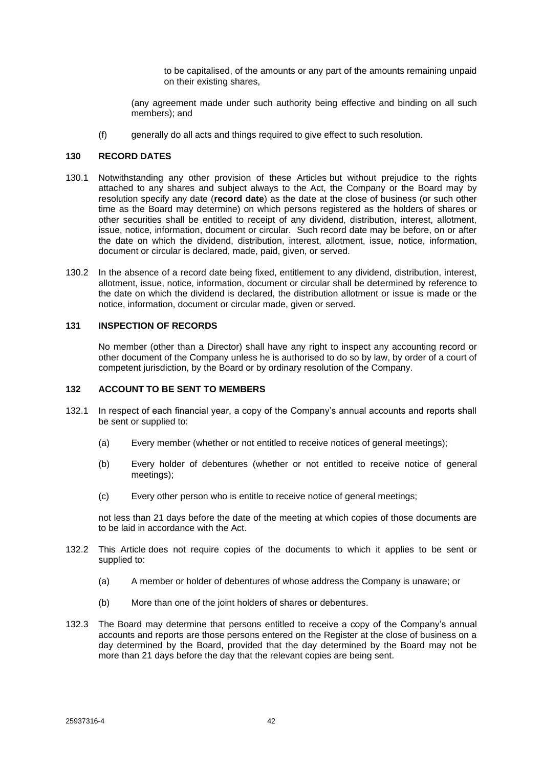to be capitalised, of the amounts or any part of the amounts remaining unpaid on their existing shares,

(any agreement made under such authority being effective and binding on all such members); and

(f) generally do all acts and things required to give effect to such resolution.

### <span id="page-46-0"></span>**130 RECORD DATES**

- 130.1 Notwithstanding any other provision of these Articles but without prejudice to the rights attached to any shares and subject always to the Act, the Company or the Board may by resolution specify any date (**record date**) as the date at the close of business (or such other time as the Board may determine) on which persons registered as the holders of shares or other securities shall be entitled to receipt of any dividend, distribution, interest, allotment, issue, notice, information, document or circular. Such record date may be before, on or after the date on which the dividend, distribution, interest, allotment, issue, notice, information, document or circular is declared, made, paid, given, or served.
- 130.2 In the absence of a record date being fixed, entitlement to any dividend, distribution, interest, allotment, issue, notice, information, document or circular shall be determined by reference to the date on which the dividend is declared, the distribution allotment or issue is made or the notice, information, document or circular made, given or served.

### <span id="page-46-1"></span>**131 INSPECTION OF RECORDS**

No member (other than a Director) shall have any right to inspect any accounting record or other document of the Company unless he is authorised to do so by law, by order of a court of competent jurisdiction, by the Board or by ordinary resolution of the Company.

#### <span id="page-46-2"></span>**132 ACCOUNT TO BE SENT TO MEMBERS**

- <span id="page-46-3"></span>132.1 In respect of each financial year, a copy of the Company's annual accounts and reports shall be sent or supplied to:
	- (a) Every member (whether or not entitled to receive notices of general meetings);
	- (b) Every holder of debentures (whether or not entitled to receive notice of general meetings);
	- (c) Every other person who is entitle to receive notice of general meetings;

not less than 21 days before the date of the meeting at which copies of those documents are to be laid in accordance with the Act.

- 132.2 This Article does not require copies of the documents to which it applies to be sent or supplied to:
	- (a) A member or holder of debentures of whose address the Company is unaware; or
	- (b) More than one of the joint holders of shares or debentures.
- 132.3 The Board may determine that persons entitled to receive a copy of the Company's annual accounts and reports are those persons entered on the Register at the close of business on a day determined by the Board, provided that the day determined by the Board may not be more than 21 days before the day that the relevant copies are being sent.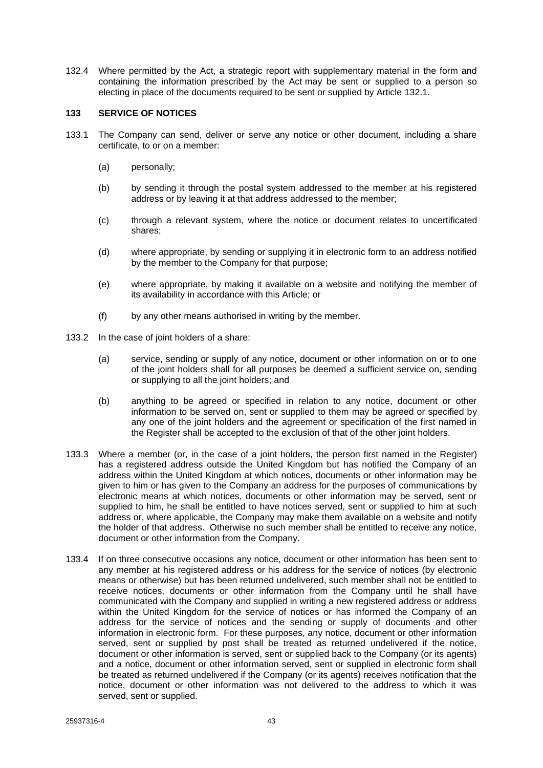132.4 Where permitted by the Act, a strategic report with supplementary material in the form and containing the information prescribed by the Act may be sent or supplied to a person so electing in place of the documents required to be sent or supplied by Article [132.1.](#page-46-3)

### <span id="page-47-0"></span>**133 SERVICE OF NOTICES**

- 133.1 The Company can send, deliver or serve any notice or other document, including a share certificate, to or on a member:
	- (a) personally;
	- (b) by sending it through the postal system addressed to the member at his registered address or by leaving it at that address addressed to the member;
	- (c) through a relevant system, where the notice or document relates to uncertificated shares;
	- (d) where appropriate, by sending or supplying it in electronic form to an address notified by the member to the Company for that purpose;
	- (e) where appropriate, by making it available on a website and notifying the member of its availability in accordance with this Article; or
	- (f) by any other means authorised in writing by the member.
- 133.2 In the case of joint holders of a share:
	- (a) service, sending or supply of any notice, document or other information on or to one of the joint holders shall for all purposes be deemed a sufficient service on, sending or supplying to all the joint holders; and
	- (b) anything to be agreed or specified in relation to any notice, document or other information to be served on, sent or supplied to them may be agreed or specified by any one of the joint holders and the agreement or specification of the first named in the Register shall be accepted to the exclusion of that of the other joint holders.
- 133.3 Where a member (or, in the case of a joint holders, the person first named in the Register) has a registered address outside the United Kingdom but has notified the Company of an address within the United Kingdom at which notices, documents or other information may be given to him or has given to the Company an address for the purposes of communications by electronic means at which notices, documents or other information may be served, sent or supplied to him, he shall be entitled to have notices served, sent or supplied to him at such address or, where applicable, the Company may make them available on a website and notify the holder of that address. Otherwise no such member shall be entitled to receive any notice, document or other information from the Company.
- 133.4 If on three consecutive occasions any notice, document or other information has been sent to any member at his registered address or his address for the service of notices (by electronic means or otherwise) but has been returned undelivered, such member shall not be entitled to receive notices, documents or other information from the Company until he shall have communicated with the Company and supplied in writing a new registered address or address within the United Kingdom for the service of notices or has informed the Company of an address for the service of notices and the sending or supply of documents and other information in electronic form. For these purposes, any notice, document or other information served, sent or supplied by post shall be treated as returned undelivered if the notice, document or other information is served, sent or supplied back to the Company (or its agents) and a notice, document or other information served, sent or supplied in electronic form shall be treated as returned undelivered if the Company (or its agents) receives notification that the notice, document or other information was not delivered to the address to which it was served, sent or supplied.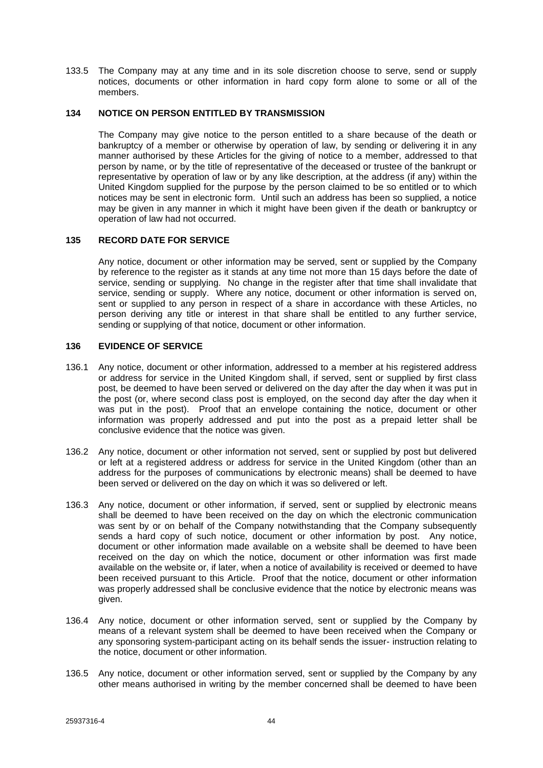133.5 The Company may at any time and in its sole discretion choose to serve, send or supply notices, documents or other information in hard copy form alone to some or all of the members.

### <span id="page-48-0"></span>**134 NOTICE ON PERSON ENTITLED BY TRANSMISSION**

The Company may give notice to the person entitled to a share because of the death or bankruptcy of a member or otherwise by operation of law, by sending or delivering it in any manner authorised by these Articles for the giving of notice to a member, addressed to that person by name, or by the title of representative of the deceased or trustee of the bankrupt or representative by operation of law or by any like description, at the address (if any) within the United Kingdom supplied for the purpose by the person claimed to be so entitled or to which notices may be sent in electronic form. Until such an address has been so supplied, a notice may be given in any manner in which it might have been given if the death or bankruptcy or operation of law had not occurred.

## <span id="page-48-1"></span>**135 RECORD DATE FOR SERVICE**

Any notice, document or other information may be served, sent or supplied by the Company by reference to the register as it stands at any time not more than 15 days before the date of service, sending or supplying. No change in the register after that time shall invalidate that service, sending or supply. Where any notice, document or other information is served on, sent or supplied to any person in respect of a share in accordance with these Articles, no person deriving any title or interest in that share shall be entitled to any further service, sending or supplying of that notice, document or other information.

## <span id="page-48-2"></span>**136 EVIDENCE OF SERVICE**

- 136.1 Any notice, document or other information, addressed to a member at his registered address or address for service in the United Kingdom shall, if served, sent or supplied by first class post, be deemed to have been served or delivered on the day after the day when it was put in the post (or, where second class post is employed, on the second day after the day when it was put in the post). Proof that an envelope containing the notice, document or other information was properly addressed and put into the post as a prepaid letter shall be conclusive evidence that the notice was given.
- 136.2 Any notice, document or other information not served, sent or supplied by post but delivered or left at a registered address or address for service in the United Kingdom (other than an address for the purposes of communications by electronic means) shall be deemed to have been served or delivered on the day on which it was so delivered or left.
- 136.3 Any notice, document or other information, if served, sent or supplied by electronic means shall be deemed to have been received on the day on which the electronic communication was sent by or on behalf of the Company notwithstanding that the Company subsequently sends a hard copy of such notice, document or other information by post. Any notice, document or other information made available on a website shall be deemed to have been received on the day on which the notice, document or other information was first made available on the website or, if later, when a notice of availability is received or deemed to have been received pursuant to this Article. Proof that the notice, document or other information was properly addressed shall be conclusive evidence that the notice by electronic means was given.
- 136.4 Any notice, document or other information served, sent or supplied by the Company by means of a relevant system shall be deemed to have been received when the Company or any sponsoring system-participant acting on its behalf sends the issuer- instruction relating to the notice, document or other information.
- 136.5 Any notice, document or other information served, sent or supplied by the Company by any other means authorised in writing by the member concerned shall be deemed to have been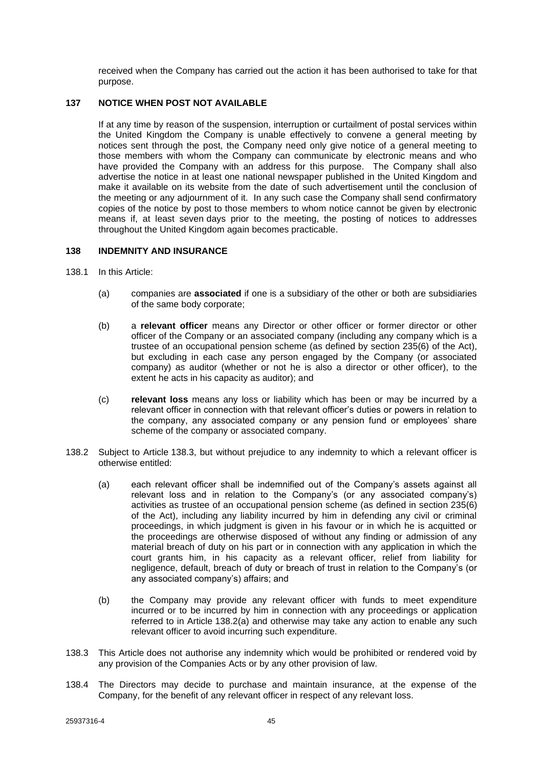received when the Company has carried out the action it has been authorised to take for that purpose.

### <span id="page-49-0"></span>**137 NOTICE WHEN POST NOT AVAILABLE**

If at any time by reason of the suspension, interruption or curtailment of postal services within the United Kingdom the Company is unable effectively to convene a general meeting by notices sent through the post, the Company need only give notice of a general meeting to those members with whom the Company can communicate by electronic means and who have provided the Company with an address for this purpose. The Company shall also advertise the notice in at least one national newspaper published in the United Kingdom and make it available on its website from the date of such advertisement until the conclusion of the meeting or any adjournment of it. In any such case the Company shall send confirmatory copies of the notice by post to those members to whom notice cannot be given by electronic means if, at least seven days prior to the meeting, the posting of notices to addresses throughout the United Kingdom again becomes practicable.

### <span id="page-49-1"></span>**138 INDEMNITY AND INSURANCE**

- 138.1 In this Article:
	- (a) companies are **associated** if one is a subsidiary of the other or both are subsidiaries of the same body corporate;
	- (b) a **relevant officer** means any Director or other officer or former director or other officer of the Company or an associated company (including any company which is a trustee of an occupational pension scheme (as defined by section 235(6) of the Act), but excluding in each case any person engaged by the Company (or associated company) as auditor (whether or not he is also a director or other officer), to the extent he acts in his capacity as auditor); and
	- (c) **relevant loss** means any loss or liability which has been or may be incurred by a relevant officer in connection with that relevant officer's duties or powers in relation to the company, any associated company or any pension fund or employees' share scheme of the company or associated company.
- <span id="page-49-3"></span>138.2 Subject to Article [138.3,](#page-49-2) but without prejudice to any indemnity to which a relevant officer is otherwise entitled:
	- (a) each relevant officer shall be indemnified out of the Company's assets against all relevant loss and in relation to the Company's (or any associated company's) activities as trustee of an occupational pension scheme (as defined in section 235(6) of the Act), including any liability incurred by him in defending any civil or criminal proceedings, in which judgment is given in his favour or in which he is acquitted or the proceedings are otherwise disposed of without any finding or admission of any material breach of duty on his part or in connection with any application in which the court grants him, in his capacity as a relevant officer, relief from liability for negligence, default, breach of duty or breach of trust in relation to the Company's (or any associated company's) affairs; and
	- (b) the Company may provide any relevant officer with funds to meet expenditure incurred or to be incurred by him in connection with any proceedings or application referred to in Article [138.2\(a\)](#page-49-3) and otherwise may take any action to enable any such relevant officer to avoid incurring such expenditure.
- <span id="page-49-2"></span>138.3 This Article does not authorise any indemnity which would be prohibited or rendered void by any provision of the Companies Acts or by any other provision of law.
- 138.4 The Directors may decide to purchase and maintain insurance, at the expense of the Company, for the benefit of any relevant officer in respect of any relevant loss.